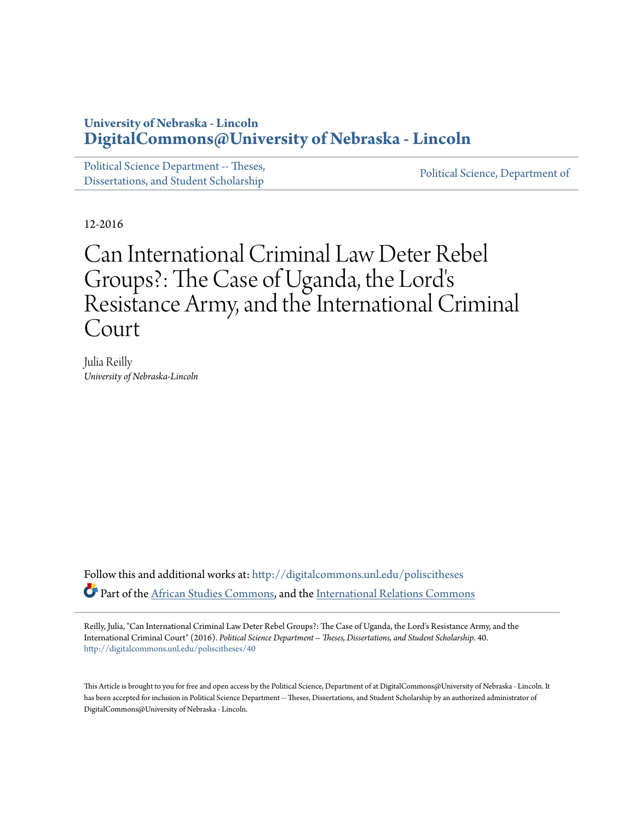# **University of Nebraska - Lincoln [DigitalCommons@University of Nebraska - Lincoln](http://digitalcommons.unl.edu?utm_source=digitalcommons.unl.edu%2Fpoliscitheses%2F40&utm_medium=PDF&utm_campaign=PDFCoverPages)**

[Political Science Department -- Theses,](http://digitalcommons.unl.edu/poliscitheses?utm_source=digitalcommons.unl.edu%2Fpoliscitheses%2F40&utm_medium=PDF&utm_campaign=PDFCoverPages) Political Science, Department of [Dissertations, and Student Scholarship](http://digitalcommons.unl.edu/poliscitheses?utm_source=digitalcommons.unl.edu%2Fpoliscitheses%2F40&utm_medium=PDF&utm_campaign=PDFCoverPages) [Political Science, Department of](http://digitalcommons.unl.edu/politicalscience?utm_source=digitalcommons.unl.edu%2Fpoliscitheses%2F40&utm_medium=PDF&utm_campaign=PDFCoverPages)

12-2016

# Can International Criminal Law Deter Rebel Groups?: The Case of Uganda, the Lord's Resistance Army, and the International Criminal Court

Julia Reilly *University of Nebraska-Lincoln*

Follow this and additional works at: [http://digitalcommons.unl.edu/poliscitheses](http://digitalcommons.unl.edu/poliscitheses?utm_source=digitalcommons.unl.edu%2Fpoliscitheses%2F40&utm_medium=PDF&utm_campaign=PDFCoverPages) Part of the [African Studies Commons](http://network.bepress.com/hgg/discipline/1043?utm_source=digitalcommons.unl.edu%2Fpoliscitheses%2F40&utm_medium=PDF&utm_campaign=PDFCoverPages), and the [International Relations Commons](http://network.bepress.com/hgg/discipline/389?utm_source=digitalcommons.unl.edu%2Fpoliscitheses%2F40&utm_medium=PDF&utm_campaign=PDFCoverPages)

Reilly, Julia, "Can International Criminal Law Deter Rebel Groups?: The Case of Uganda, the Lord's Resistance Army, and the International Criminal Court" (2016). *Political Science Department -- Theses, Dissertations, and Student Scholarship*. 40. [http://digitalcommons.unl.edu/poliscitheses/40](http://digitalcommons.unl.edu/poliscitheses/40?utm_source=digitalcommons.unl.edu%2Fpoliscitheses%2F40&utm_medium=PDF&utm_campaign=PDFCoverPages)

This Article is brought to you for free and open access by the Political Science, Department of at DigitalCommons@University of Nebraska - Lincoln. It has been accepted for inclusion in Political Science Department -- Theses, Dissertations, and Student Scholarship by an authorized administrator of DigitalCommons@University of Nebraska - Lincoln.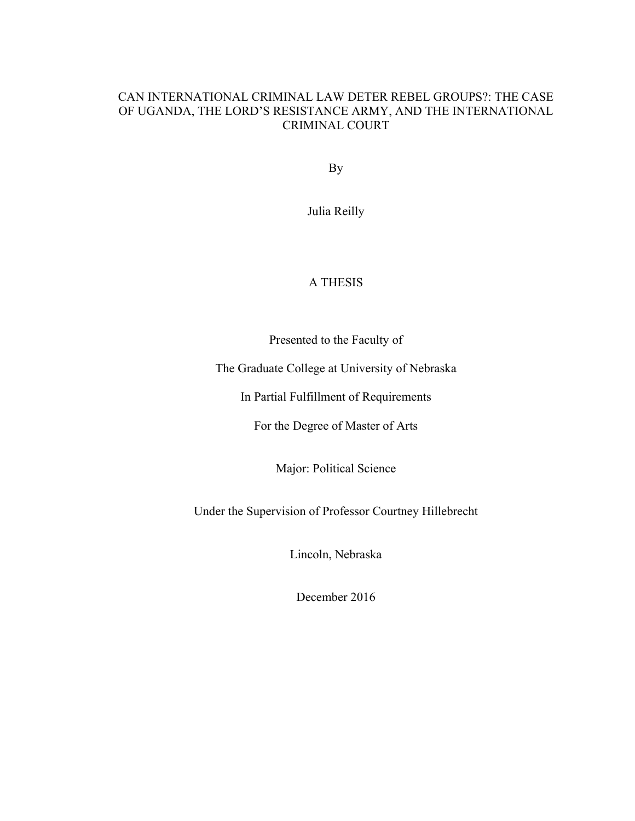# CAN INTERNATIONAL CRIMINAL LAW DETER REBEL GROUPS?: THE CASE OF UGANDA, THE LORD'S RESISTANCE ARMY, AND THE INTERNATIONAL CRIMINAL COURT

By

Julia Reilly

# A THESIS

Presented to the Faculty of

The Graduate College at University of Nebraska

In Partial Fulfillment of Requirements

For the Degree of Master of Arts

Major: Political Science

Under the Supervision of Professor Courtney Hillebrecht

Lincoln, Nebraska

December 2016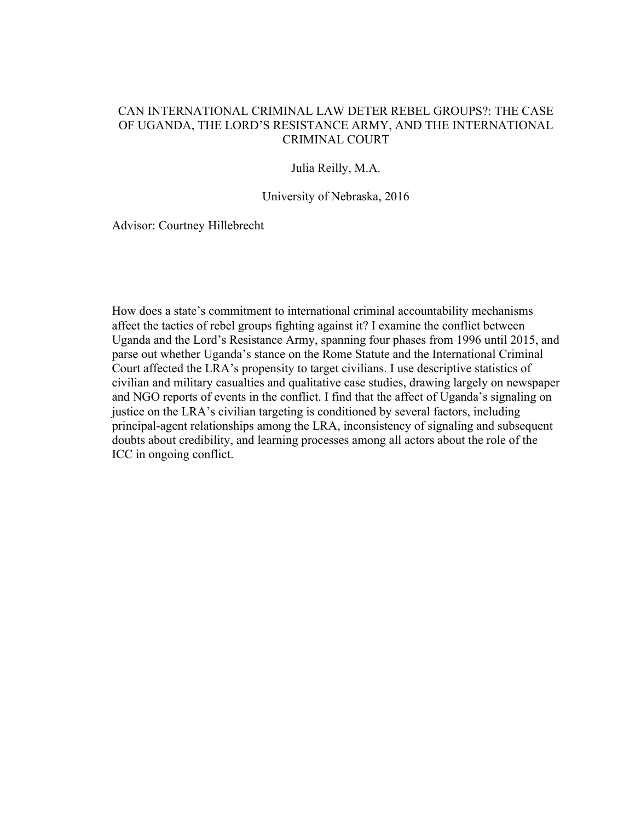# CAN INTERNATIONAL CRIMINAL LAW DETER REBEL GROUPS?: THE CASE OF UGANDA, THE LORD'S RESISTANCE ARMY, AND THE INTERNATIONAL CRIMINAL COURT

# Julia Reilly, M.A.

#### University of Nebraska, 2016

Advisor: Courtney Hillebrecht

How does a state's commitment to international criminal accountability mechanisms affect the tactics of rebel groups fighting against it? I examine the conflict between Uganda and the Lord's Resistance Army, spanning four phases from 1996 until 2015, and parse out whether Uganda's stance on the Rome Statute and the International Criminal Court affected the LRA's propensity to target civilians. I use descriptive statistics of civilian and military casualties and qualitative case studies, drawing largely on newspaper and NGO reports of events in the conflict. I find that the affect of Uganda's signaling on justice on the LRA's civilian targeting is conditioned by several factors, including principal-agent relationships among the LRA, inconsistency of signaling and subsequent doubts about credibility, and learning processes among all actors about the role of the ICC in ongoing conflict.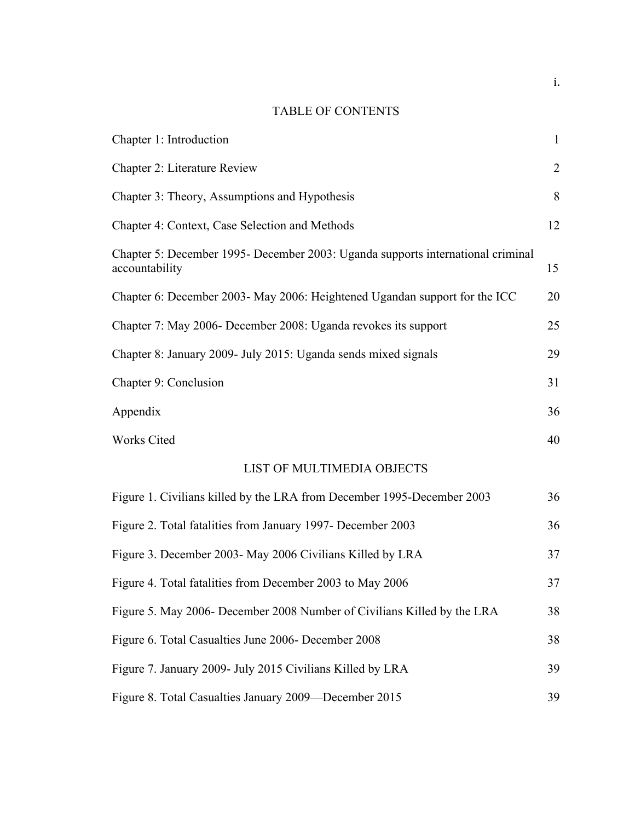# TABLE OF CONTENTS

| Chapter 1: Introduction                                                                           | $\mathbf{1}$   |
|---------------------------------------------------------------------------------------------------|----------------|
| Chapter 2: Literature Review                                                                      | $\overline{2}$ |
| Chapter 3: Theory, Assumptions and Hypothesis                                                     | 8              |
| Chapter 4: Context, Case Selection and Methods                                                    | 12             |
| Chapter 5: December 1995- December 2003: Uganda supports international criminal<br>accountability | 15             |
| Chapter 6: December 2003- May 2006: Heightened Ugandan support for the ICC                        | 20             |
| Chapter 7: May 2006- December 2008: Uganda revokes its support                                    | 25             |
| Chapter 8: January 2009- July 2015: Uganda sends mixed signals                                    | 29             |
| Chapter 9: Conclusion                                                                             | 31             |
| Appendix                                                                                          | 36             |
| Works Cited                                                                                       | 40             |
| <b>LIST OF MULTIMEDIA OBJECTS</b>                                                                 |                |
| Figure 1. Civilians killed by the LRA from December 1995-December 2003                            | 36             |
| Figure 2. Total fatalities from January 1997- December 2003                                       | 36             |
| Figure 3. December 2003- May 2006 Civilians Killed by LRA                                         | 37             |
| Figure 4. Total fatalities from December 2003 to May 2006                                         | 37             |
| Figure 5. May 2006- December 2008 Number of Civilians Killed by the LRA                           | 38             |
| Figure 6. Total Casualties June 2006- December 2008                                               | 38             |
| Figure 7. January 2009- July 2015 Civilians Killed by LRA                                         | 39             |
| Figure 8. Total Casualties January 2009-December 2015                                             | 39             |

i.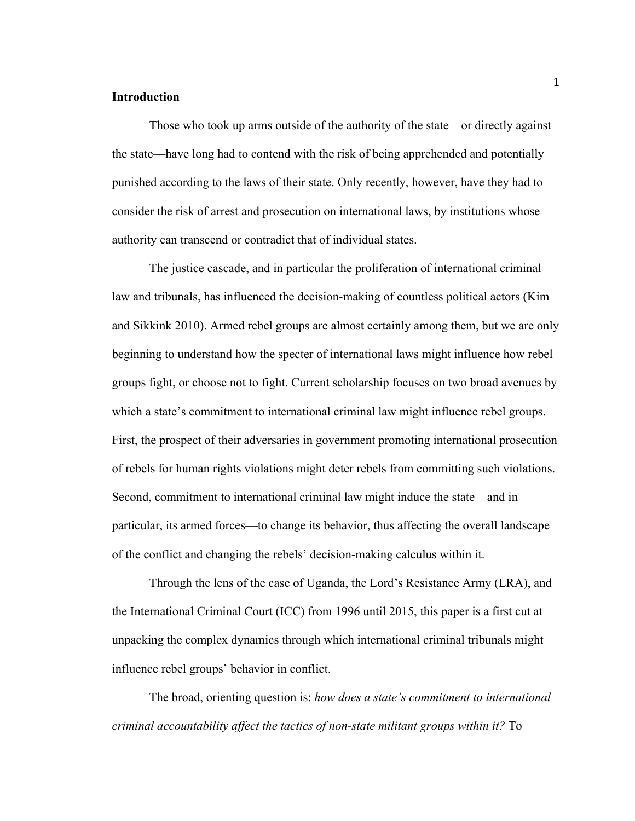# **Introduction**

Those who took up arms outside of the authority of the state—or directly against the state—have long had to contend with the risk of being apprehended and potentially punished according to the laws of their state. Only recently, however, have they had to consider the risk of arrest and prosecution on international laws, by institutions whose authority can transcend or contradict that of individual states.

The justice cascade, and in particular the proliferation of international criminal law and tribunals, has influenced the decision-making of countless political actors (Kim and Sikkink 2010). Armed rebel groups are almost certainly among them, but we are only beginning to understand how the specter of international laws might influence how rebel groups fight, or choose not to fight. Current scholarship focuses on two broad avenues by which a state's commitment to international criminal law might influence rebel groups. First, the prospect of their adversaries in government promoting international prosecution of rebels for human rights violations might deter rebels from committing such violations. Second, commitment to international criminal law might induce the state—and in particular, its armed forces—to change its behavior, thus affecting the overall landscape of the conflict and changing the rebels' decision-making calculus within it.

Through the lens of the case of Uganda, the Lord's Resistance Army (LRA), and the International Criminal Court (ICC) from 1996 until 2015, this paper is a first cut at unpacking the complex dynamics through which international criminal tribunals might influence rebel groups' behavior in conflict.

The broad, orienting question is: *how does a state's commitment to international criminal accountability affect the tactics of non-state militant groups within it?* To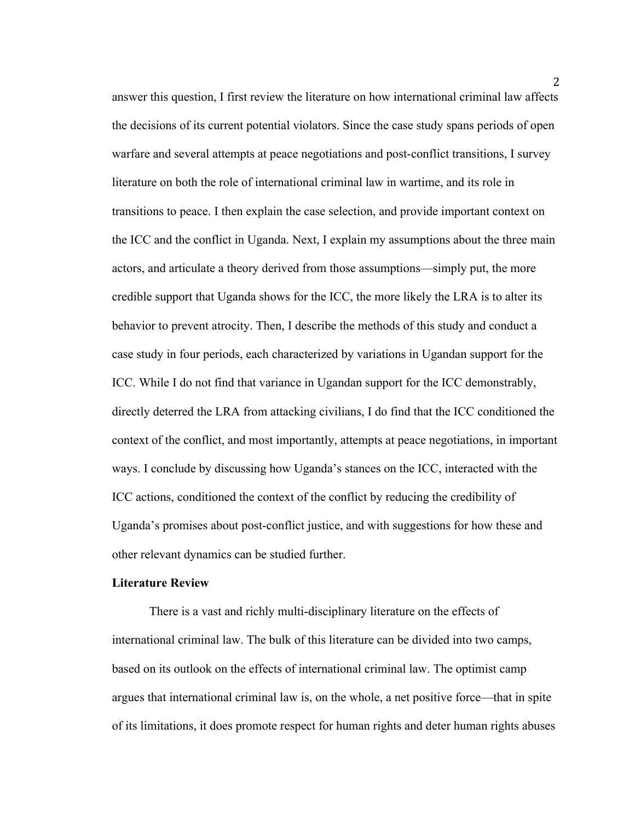answer this question, I first review the literature on how international criminal law affects the decisions of its current potential violators. Since the case study spans periods of open warfare and several attempts at peace negotiations and post-conflict transitions, I survey literature on both the role of international criminal law in wartime, and its role in transitions to peace. I then explain the case selection, and provide important context on the ICC and the conflict in Uganda. Next, I explain my assumptions about the three main actors, and articulate a theory derived from those assumptions—simply put, the more credible support that Uganda shows for the ICC, the more likely the LRA is to alter its behavior to prevent atrocity. Then, I describe the methods of this study and conduct a case study in four periods, each characterized by variations in Ugandan support for the ICC. While I do not find that variance in Ugandan support for the ICC demonstrably, directly deterred the LRA from attacking civilians, I do find that the ICC conditioned the context of the conflict, and most importantly, attempts at peace negotiations, in important ways. I conclude by discussing how Uganda's stances on the ICC, interacted with the ICC actions, conditioned the context of the conflict by reducing the credibility of Uganda's promises about post-conflict justice, and with suggestions for how these and other relevant dynamics can be studied further.

# **Literature Review**

There is a vast and richly multi-disciplinary literature on the effects of international criminal law. The bulk of this literature can be divided into two camps, based on its outlook on the effects of international criminal law. The optimist camp argues that international criminal law is, on the whole, a net positive force—that in spite of its limitations, it does promote respect for human rights and deter human rights abuses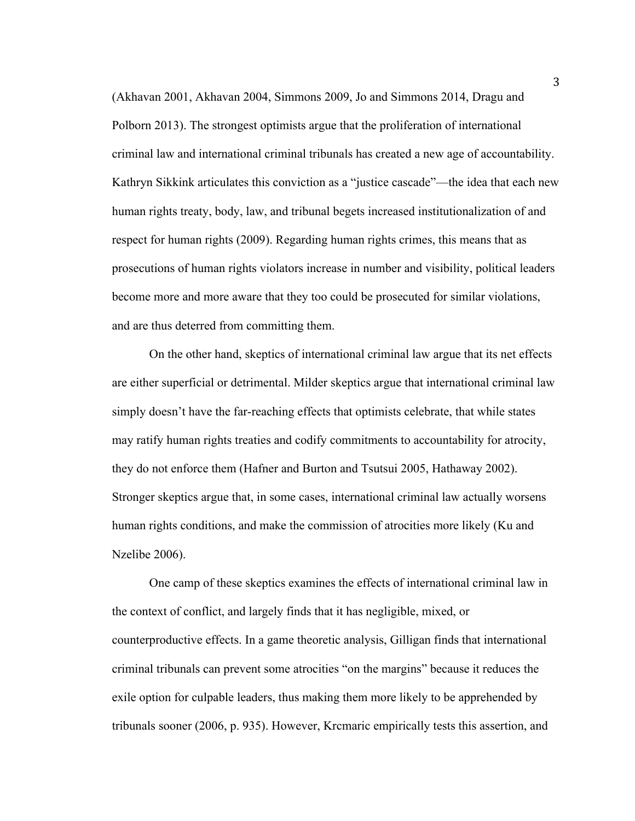(Akhavan 2001, Akhavan 2004, Simmons 2009, Jo and Simmons 2014, Dragu and Polborn 2013). The strongest optimists argue that the proliferation of international criminal law and international criminal tribunals has created a new age of accountability. Kathryn Sikkink articulates this conviction as a "justice cascade"—the idea that each new human rights treaty, body, law, and tribunal begets increased institutionalization of and respect for human rights (2009). Regarding human rights crimes, this means that as prosecutions of human rights violators increase in number and visibility, political leaders become more and more aware that they too could be prosecuted for similar violations, and are thus deterred from committing them.

On the other hand, skeptics of international criminal law argue that its net effects are either superficial or detrimental. Milder skeptics argue that international criminal law simply doesn't have the far-reaching effects that optimists celebrate, that while states may ratify human rights treaties and codify commitments to accountability for atrocity, they do not enforce them (Hafner and Burton and Tsutsui 2005, Hathaway 2002). Stronger skeptics argue that, in some cases, international criminal law actually worsens human rights conditions, and make the commission of atrocities more likely (Ku and Nzelibe 2006).

One camp of these skeptics examines the effects of international criminal law in the context of conflict, and largely finds that it has negligible, mixed, or counterproductive effects. In a game theoretic analysis, Gilligan finds that international criminal tribunals can prevent some atrocities "on the margins" because it reduces the exile option for culpable leaders, thus making them more likely to be apprehended by tribunals sooner (2006, p. 935). However, Krcmaric empirically tests this assertion, and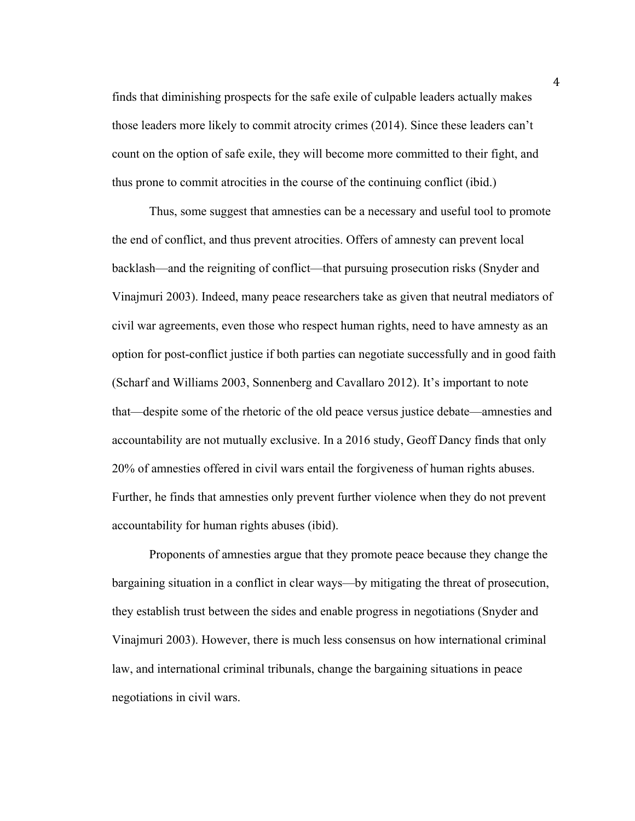finds that diminishing prospects for the safe exile of culpable leaders actually makes those leaders more likely to commit atrocity crimes (2014). Since these leaders can't count on the option of safe exile, they will become more committed to their fight, and thus prone to commit atrocities in the course of the continuing conflict (ibid.)

Thus, some suggest that amnesties can be a necessary and useful tool to promote the end of conflict, and thus prevent atrocities. Offers of amnesty can prevent local backlash—and the reigniting of conflict—that pursuing prosecution risks (Snyder and Vinajmuri 2003). Indeed, many peace researchers take as given that neutral mediators of civil war agreements, even those who respect human rights, need to have amnesty as an option for post-conflict justice if both parties can negotiate successfully and in good faith (Scharf and Williams 2003, Sonnenberg and Cavallaro 2012). It's important to note that—despite some of the rhetoric of the old peace versus justice debate—amnesties and accountability are not mutually exclusive. In a 2016 study, Geoff Dancy finds that only 20% of amnesties offered in civil wars entail the forgiveness of human rights abuses. Further, he finds that amnesties only prevent further violence when they do not prevent accountability for human rights abuses (ibid).

Proponents of amnesties argue that they promote peace because they change the bargaining situation in a conflict in clear ways—by mitigating the threat of prosecution, they establish trust between the sides and enable progress in negotiations (Snyder and Vinajmuri 2003). However, there is much less consensus on how international criminal law, and international criminal tribunals, change the bargaining situations in peace negotiations in civil wars.

4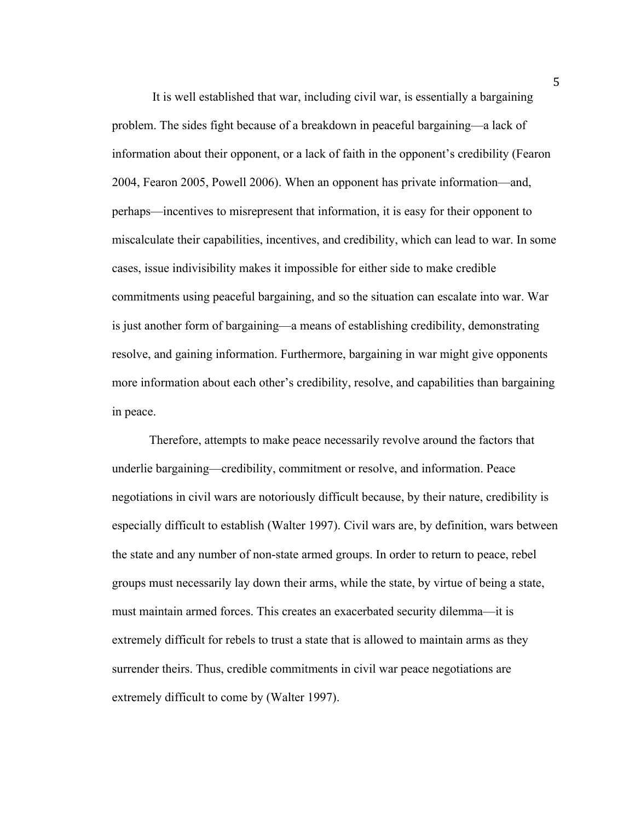It is well established that war, including civil war, is essentially a bargaining problem. The sides fight because of a breakdown in peaceful bargaining—a lack of information about their opponent, or a lack of faith in the opponent's credibility (Fearon 2004, Fearon 2005, Powell 2006). When an opponent has private information—and, perhaps—incentives to misrepresent that information, it is easy for their opponent to miscalculate their capabilities, incentives, and credibility, which can lead to war. In some cases, issue indivisibility makes it impossible for either side to make credible commitments using peaceful bargaining, and so the situation can escalate into war. War is just another form of bargaining—a means of establishing credibility, demonstrating resolve, and gaining information. Furthermore, bargaining in war might give opponents more information about each other's credibility, resolve, and capabilities than bargaining in peace.

Therefore, attempts to make peace necessarily revolve around the factors that underlie bargaining—credibility, commitment or resolve, and information. Peace negotiations in civil wars are notoriously difficult because, by their nature, credibility is especially difficult to establish (Walter 1997). Civil wars are, by definition, wars between the state and any number of non-state armed groups. In order to return to peace, rebel groups must necessarily lay down their arms, while the state, by virtue of being a state, must maintain armed forces. This creates an exacerbated security dilemma—it is extremely difficult for rebels to trust a state that is allowed to maintain arms as they surrender theirs. Thus, credible commitments in civil war peace negotiations are extremely difficult to come by (Walter 1997).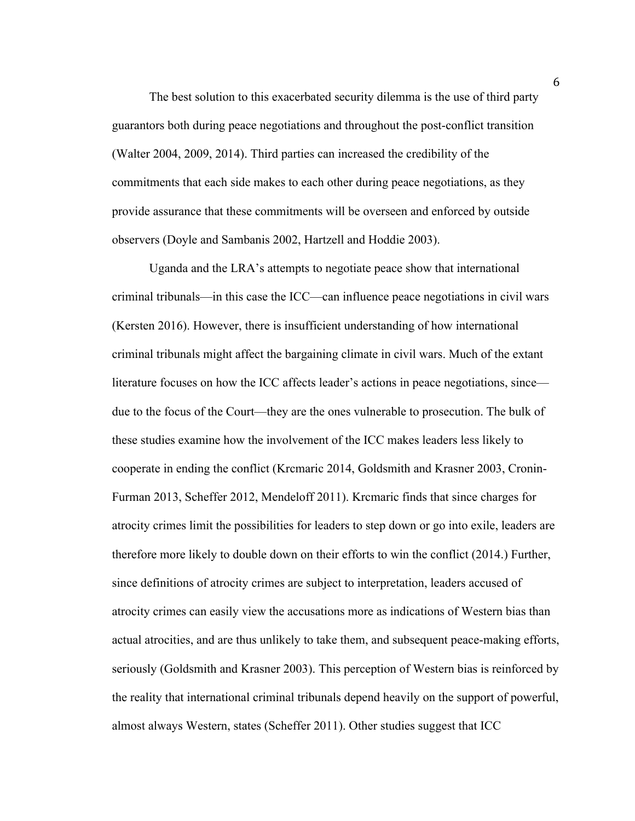The best solution to this exacerbated security dilemma is the use of third party guarantors both during peace negotiations and throughout the post-conflict transition (Walter 2004, 2009, 2014). Third parties can increased the credibility of the commitments that each side makes to each other during peace negotiations, as they provide assurance that these commitments will be overseen and enforced by outside observers (Doyle and Sambanis 2002, Hartzell and Hoddie 2003).

Uganda and the LRA's attempts to negotiate peace show that international criminal tribunals—in this case the ICC—can influence peace negotiations in civil wars (Kersten 2016). However, there is insufficient understanding of how international criminal tribunals might affect the bargaining climate in civil wars. Much of the extant literature focuses on how the ICC affects leader's actions in peace negotiations, since due to the focus of the Court—they are the ones vulnerable to prosecution. The bulk of these studies examine how the involvement of the ICC makes leaders less likely to cooperate in ending the conflict (Krcmaric 2014, Goldsmith and Krasner 2003, Cronin-Furman 2013, Scheffer 2012, Mendeloff 2011). Krcmaric finds that since charges for atrocity crimes limit the possibilities for leaders to step down or go into exile, leaders are therefore more likely to double down on their efforts to win the conflict (2014.) Further, since definitions of atrocity crimes are subject to interpretation, leaders accused of atrocity crimes can easily view the accusations more as indications of Western bias than actual atrocities, and are thus unlikely to take them, and subsequent peace-making efforts, seriously (Goldsmith and Krasner 2003). This perception of Western bias is reinforced by the reality that international criminal tribunals depend heavily on the support of powerful, almost always Western, states (Scheffer 2011). Other studies suggest that ICC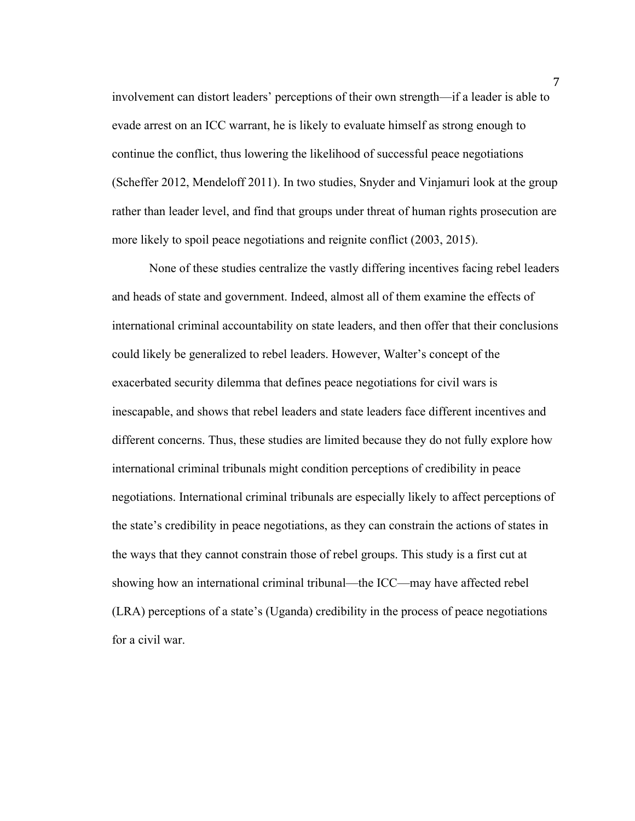involvement can distort leaders' perceptions of their own strength—if a leader is able to evade arrest on an ICC warrant, he is likely to evaluate himself as strong enough to continue the conflict, thus lowering the likelihood of successful peace negotiations (Scheffer 2012, Mendeloff 2011). In two studies, Snyder and Vinjamuri look at the group rather than leader level, and find that groups under threat of human rights prosecution are more likely to spoil peace negotiations and reignite conflict (2003, 2015).

None of these studies centralize the vastly differing incentives facing rebel leaders and heads of state and government. Indeed, almost all of them examine the effects of international criminal accountability on state leaders, and then offer that their conclusions could likely be generalized to rebel leaders. However, Walter's concept of the exacerbated security dilemma that defines peace negotiations for civil wars is inescapable, and shows that rebel leaders and state leaders face different incentives and different concerns. Thus, these studies are limited because they do not fully explore how international criminal tribunals might condition perceptions of credibility in peace negotiations. International criminal tribunals are especially likely to affect perceptions of the state's credibility in peace negotiations, as they can constrain the actions of states in the ways that they cannot constrain those of rebel groups. This study is a first cut at showing how an international criminal tribunal—the ICC—may have affected rebel (LRA) perceptions of a state's (Uganda) credibility in the process of peace negotiations for a civil war.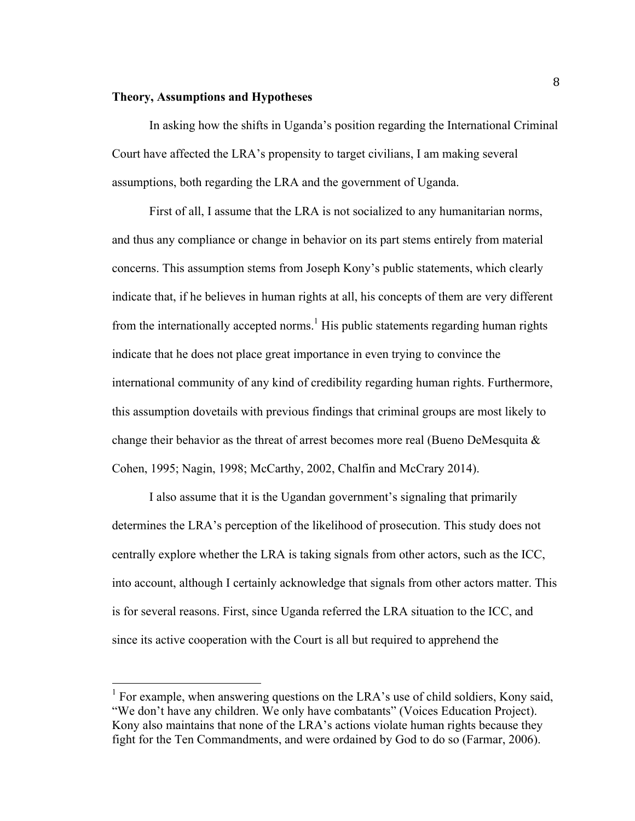#### **Theory, Assumptions and Hypotheses**

In asking how the shifts in Uganda's position regarding the International Criminal Court have affected the LRA's propensity to target civilians, I am making several assumptions, both regarding the LRA and the government of Uganda.

First of all, I assume that the LRA is not socialized to any humanitarian norms, and thus any compliance or change in behavior on its part stems entirely from material concerns. This assumption stems from Joseph Kony's public statements, which clearly indicate that, if he believes in human rights at all, his concepts of them are very different from the internationally accepted norms.<sup>1</sup> His public statements regarding human rights indicate that he does not place great importance in even trying to convince the international community of any kind of credibility regarding human rights. Furthermore, this assumption dovetails with previous findings that criminal groups are most likely to change their behavior as the threat of arrest becomes more real (Bueno DeMesquita  $\&$ Cohen, 1995; Nagin, 1998; McCarthy, 2002, Chalfin and McCrary 2014).

I also assume that it is the Ugandan government's signaling that primarily determines the LRA's perception of the likelihood of prosecution. This study does not centrally explore whether the LRA is taking signals from other actors, such as the ICC, into account, although I certainly acknowledge that signals from other actors matter. This is for several reasons. First, since Uganda referred the LRA situation to the ICC, and since its active cooperation with the Court is all but required to apprehend the

<sup>&</sup>lt;sup>1</sup> For example, when answering questions on the LRA's use of child soldiers, Kony said, "We don't have any children. We only have combatants" (Voices Education Project). Kony also maintains that none of the LRA's actions violate human rights because they fight for the Ten Commandments, and were ordained by God to do so (Farmar, 2006).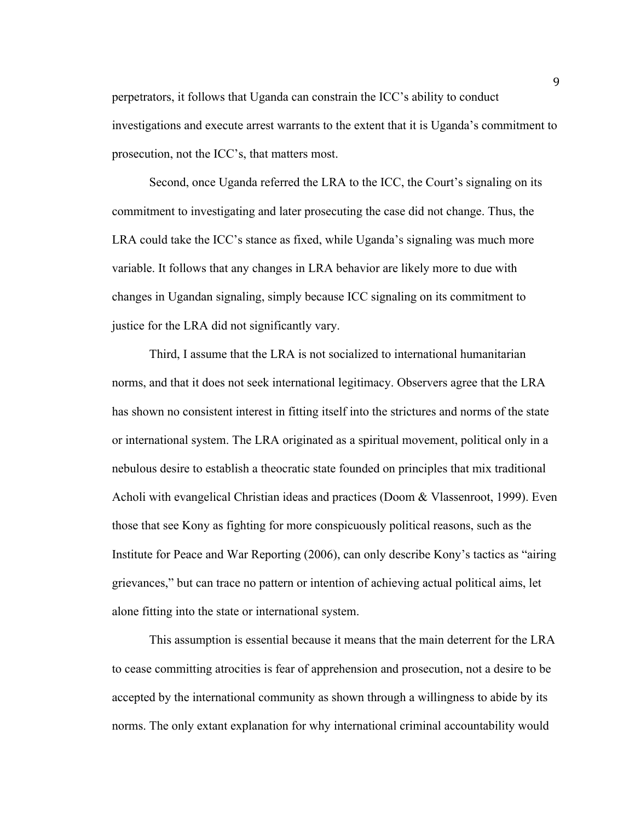perpetrators, it follows that Uganda can constrain the ICC's ability to conduct investigations and execute arrest warrants to the extent that it is Uganda's commitment to prosecution, not the ICC's, that matters most.

Second, once Uganda referred the LRA to the ICC, the Court's signaling on its commitment to investigating and later prosecuting the case did not change. Thus, the LRA could take the ICC's stance as fixed, while Uganda's signaling was much more variable. It follows that any changes in LRA behavior are likely more to due with changes in Ugandan signaling, simply because ICC signaling on its commitment to justice for the LRA did not significantly vary.

Third, I assume that the LRA is not socialized to international humanitarian norms, and that it does not seek international legitimacy. Observers agree that the LRA has shown no consistent interest in fitting itself into the strictures and norms of the state or international system. The LRA originated as a spiritual movement, political only in a nebulous desire to establish a theocratic state founded on principles that mix traditional Acholi with evangelical Christian ideas and practices (Doom & Vlassenroot, 1999). Even those that see Kony as fighting for more conspicuously political reasons, such as the Institute for Peace and War Reporting (2006), can only describe Kony's tactics as "airing grievances," but can trace no pattern or intention of achieving actual political aims, let alone fitting into the state or international system.

This assumption is essential because it means that the main deterrent for the LRA to cease committing atrocities is fear of apprehension and prosecution, not a desire to be accepted by the international community as shown through a willingness to abide by its norms. The only extant explanation for why international criminal accountability would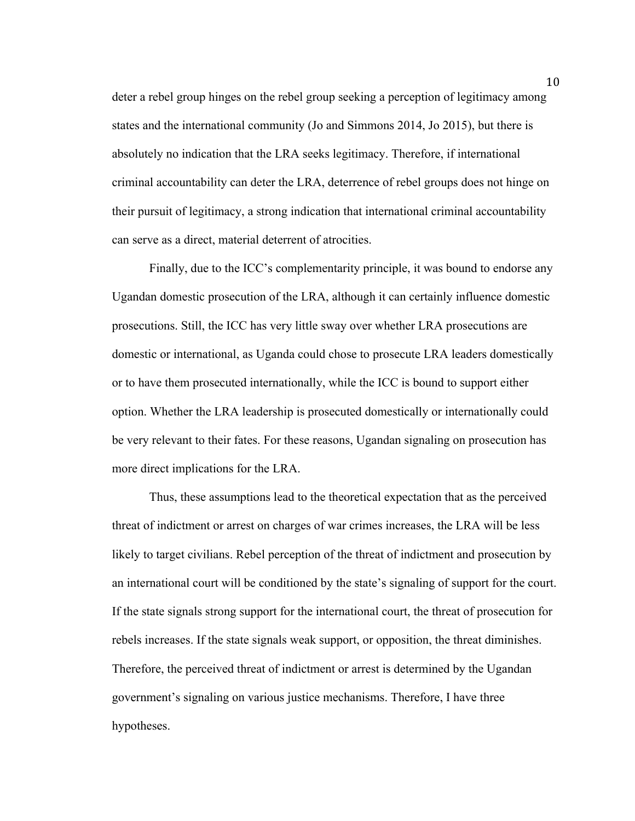deter a rebel group hinges on the rebel group seeking a perception of legitimacy among states and the international community (Jo and Simmons 2014, Jo 2015), but there is absolutely no indication that the LRA seeks legitimacy. Therefore, if international criminal accountability can deter the LRA, deterrence of rebel groups does not hinge on their pursuit of legitimacy, a strong indication that international criminal accountability can serve as a direct, material deterrent of atrocities.

Finally, due to the ICC's complementarity principle, it was bound to endorse any Ugandan domestic prosecution of the LRA, although it can certainly influence domestic prosecutions. Still, the ICC has very little sway over whether LRA prosecutions are domestic or international, as Uganda could chose to prosecute LRA leaders domestically or to have them prosecuted internationally, while the ICC is bound to support either option. Whether the LRA leadership is prosecuted domestically or internationally could be very relevant to their fates. For these reasons, Ugandan signaling on prosecution has more direct implications for the LRA.

Thus, these assumptions lead to the theoretical expectation that as the perceived threat of indictment or arrest on charges of war crimes increases, the LRA will be less likely to target civilians. Rebel perception of the threat of indictment and prosecution by an international court will be conditioned by the state's signaling of support for the court. If the state signals strong support for the international court, the threat of prosecution for rebels increases. If the state signals weak support, or opposition, the threat diminishes. Therefore, the perceived threat of indictment or arrest is determined by the Ugandan government's signaling on various justice mechanisms. Therefore, I have three hypotheses.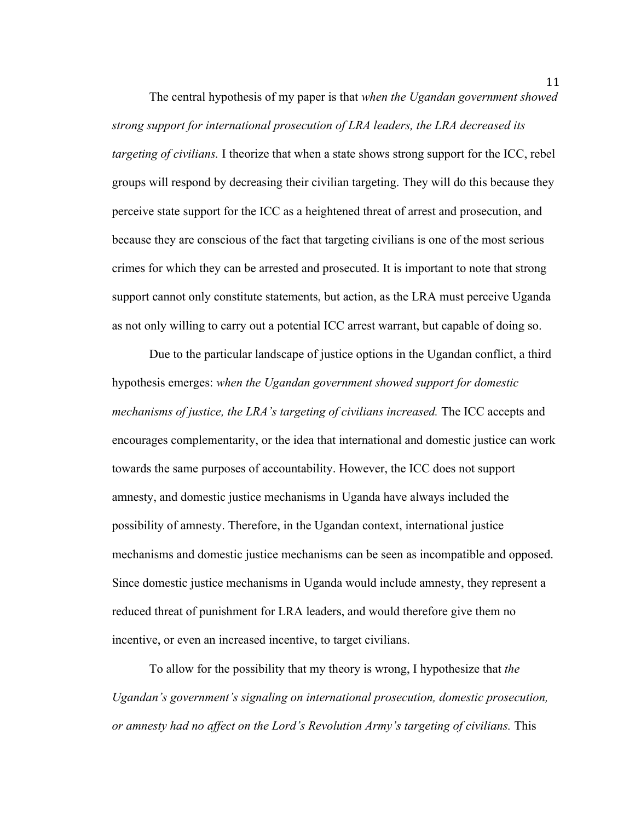The central hypothesis of my paper is that *when the Ugandan government showed strong support for international prosecution of LRA leaders, the LRA decreased its targeting of civilians.* I theorize that when a state shows strong support for the ICC, rebel groups will respond by decreasing their civilian targeting. They will do this because they perceive state support for the ICC as a heightened threat of arrest and prosecution, and because they are conscious of the fact that targeting civilians is one of the most serious crimes for which they can be arrested and prosecuted. It is important to note that strong support cannot only constitute statements, but action, as the LRA must perceive Uganda as not only willing to carry out a potential ICC arrest warrant, but capable of doing so.

Due to the particular landscape of justice options in the Ugandan conflict, a third hypothesis emerges: *when the Ugandan government showed support for domestic mechanisms of justice, the LRA's targeting of civilians increased.* The ICC accepts and encourages complementarity, or the idea that international and domestic justice can work towards the same purposes of accountability. However, the ICC does not support amnesty, and domestic justice mechanisms in Uganda have always included the possibility of amnesty. Therefore, in the Ugandan context, international justice mechanisms and domestic justice mechanisms can be seen as incompatible and opposed. Since domestic justice mechanisms in Uganda would include amnesty, they represent a reduced threat of punishment for LRA leaders, and would therefore give them no incentive, or even an increased incentive, to target civilians.

To allow for the possibility that my theory is wrong, I hypothesize that *the Ugandan's government's signaling on international prosecution, domestic prosecution, or amnesty had no affect on the Lord's Revolution Army's targeting of civilians.* This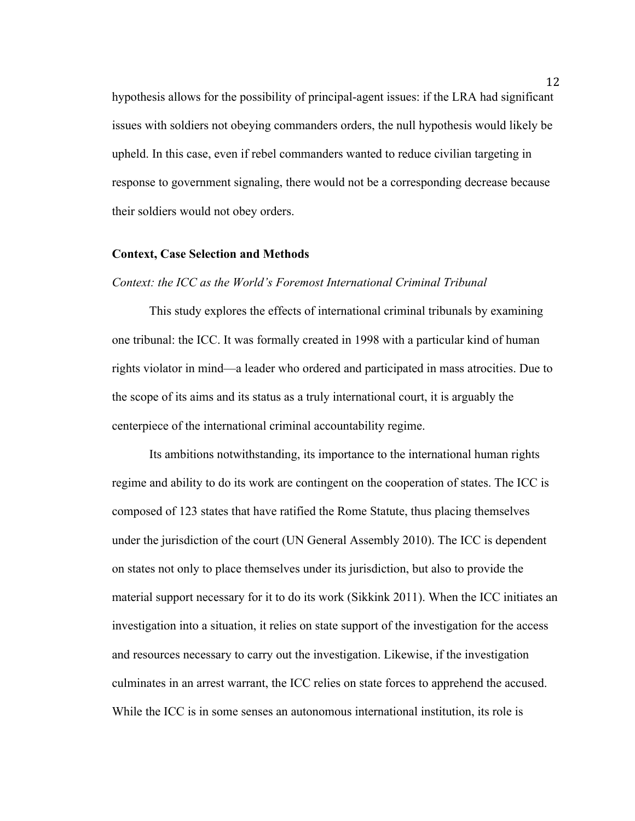hypothesis allows for the possibility of principal-agent issues: if the LRA had significant issues with soldiers not obeying commanders orders, the null hypothesis would likely be upheld. In this case, even if rebel commanders wanted to reduce civilian targeting in response to government signaling, there would not be a corresponding decrease because their soldiers would not obey orders.

#### **Context, Case Selection and Methods**

# *Context: the ICC as the World's Foremost International Criminal Tribunal*

This study explores the effects of international criminal tribunals by examining one tribunal: the ICC. It was formally created in 1998 with a particular kind of human rights violator in mind—a leader who ordered and participated in mass atrocities. Due to the scope of its aims and its status as a truly international court, it is arguably the centerpiece of the international criminal accountability regime.

Its ambitions notwithstanding, its importance to the international human rights regime and ability to do its work are contingent on the cooperation of states. The ICC is composed of 123 states that have ratified the Rome Statute, thus placing themselves under the jurisdiction of the court (UN General Assembly 2010). The ICC is dependent on states not only to place themselves under its jurisdiction, but also to provide the material support necessary for it to do its work (Sikkink 2011). When the ICC initiates an investigation into a situation, it relies on state support of the investigation for the access and resources necessary to carry out the investigation. Likewise, if the investigation culminates in an arrest warrant, the ICC relies on state forces to apprehend the accused. While the ICC is in some senses an autonomous international institution, its role is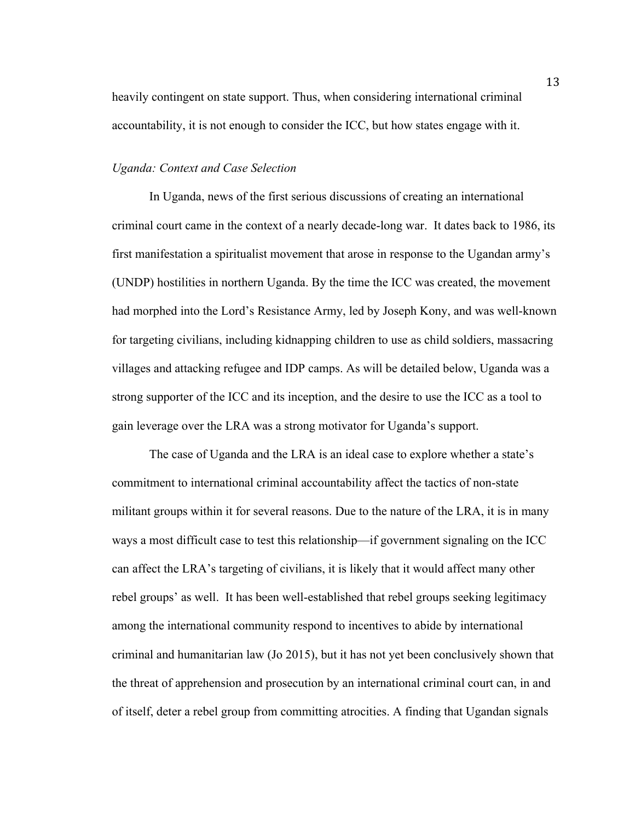heavily contingent on state support. Thus, when considering international criminal accountability, it is not enough to consider the ICC, but how states engage with it.

# *Uganda: Context and Case Selection*

In Uganda, news of the first serious discussions of creating an international criminal court came in the context of a nearly decade-long war. It dates back to 1986, its first manifestation a spiritualist movement that arose in response to the Ugandan army's (UNDP) hostilities in northern Uganda. By the time the ICC was created, the movement had morphed into the Lord's Resistance Army, led by Joseph Kony, and was well-known for targeting civilians, including kidnapping children to use as child soldiers, massacring villages and attacking refugee and IDP camps. As will be detailed below, Uganda was a strong supporter of the ICC and its inception, and the desire to use the ICC as a tool to gain leverage over the LRA was a strong motivator for Uganda's support.

The case of Uganda and the LRA is an ideal case to explore whether a state's commitment to international criminal accountability affect the tactics of non-state militant groups within it for several reasons. Due to the nature of the LRA, it is in many ways a most difficult case to test this relationship—if government signaling on the ICC can affect the LRA's targeting of civilians, it is likely that it would affect many other rebel groups' as well. It has been well-established that rebel groups seeking legitimacy among the international community respond to incentives to abide by international criminal and humanitarian law (Jo 2015), but it has not yet been conclusively shown that the threat of apprehension and prosecution by an international criminal court can, in and of itself, deter a rebel group from committing atrocities. A finding that Ugandan signals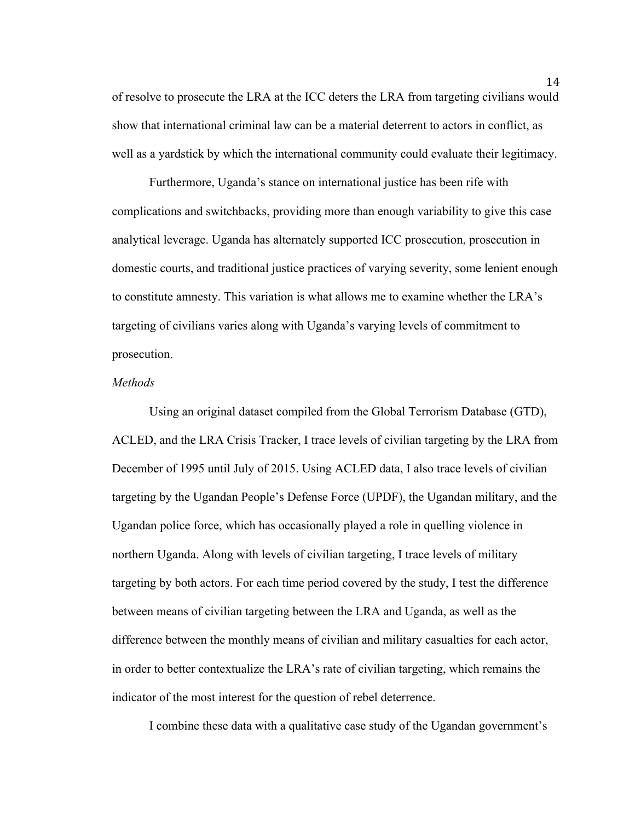of resolve to prosecute the LRA at the ICC deters the LRA from targeting civilians would show that international criminal law can be a material deterrent to actors in conflict, as well as a yardstick by which the international community could evaluate their legitimacy.

Furthermore, Uganda's stance on international justice has been rife with complications and switchbacks, providing more than enough variability to give this case analytical leverage. Uganda has alternately supported ICC prosecution, prosecution in domestic courts, and traditional justice practices of varying severity, some lenient enough to constitute amnesty. This variation is what allows me to examine whether the LRA's targeting of civilians varies along with Uganda's varying levels of commitment to prosecution.

# *Methods*

Using an original dataset compiled from the Global Terrorism Database (GTD), ACLED, and the LRA Crisis Tracker, I trace levels of civilian targeting by the LRA from December of 1995 until July of 2015. Using ACLED data, I also trace levels of civilian targeting by the Ugandan People's Defense Force (UPDF), the Ugandan military, and the Ugandan police force, which has occasionally played a role in quelling violence in northern Uganda. Along with levels of civilian targeting, I trace levels of military targeting by both actors. For each time period covered by the study, I test the difference between means of civilian targeting between the LRA and Uganda, as well as the difference between the monthly means of civilian and military casualties for each actor, in order to better contextualize the LRA's rate of civilian targeting, which remains the indicator of the most interest for the question of rebel deterrence.

I combine these data with a qualitative case study of the Ugandan government's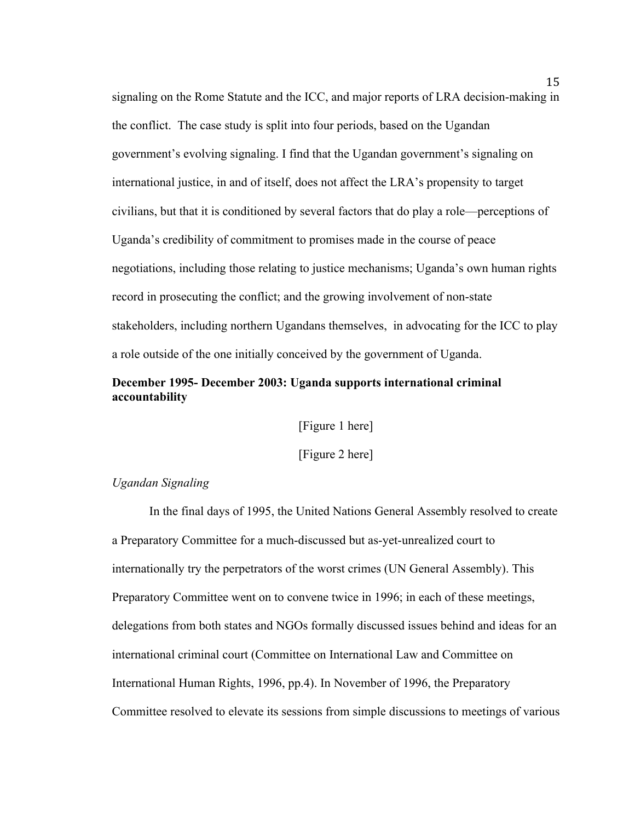signaling on the Rome Statute and the ICC, and major reports of LRA decision-making in the conflict. The case study is split into four periods, based on the Ugandan government's evolving signaling. I find that the Ugandan government's signaling on international justice, in and of itself, does not affect the LRA's propensity to target civilians, but that it is conditioned by several factors that do play a role—perceptions of Uganda's credibility of commitment to promises made in the course of peace negotiations, including those relating to justice mechanisms; Uganda's own human rights record in prosecuting the conflict; and the growing involvement of non-state stakeholders, including northern Ugandans themselves, in advocating for the ICC to play a role outside of the one initially conceived by the government of Uganda.

# **December 1995- December 2003: Uganda supports international criminal accountability**

[Figure 1 here]

[Figure 2 here]

# *Ugandan Signaling*

In the final days of 1995, the United Nations General Assembly resolved to create a Preparatory Committee for a much-discussed but as-yet-unrealized court to internationally try the perpetrators of the worst crimes (UN General Assembly). This Preparatory Committee went on to convene twice in 1996; in each of these meetings, delegations from both states and NGOs formally discussed issues behind and ideas for an international criminal court (Committee on International Law and Committee on International Human Rights, 1996, pp.4). In November of 1996, the Preparatory Committee resolved to elevate its sessions from simple discussions to meetings of various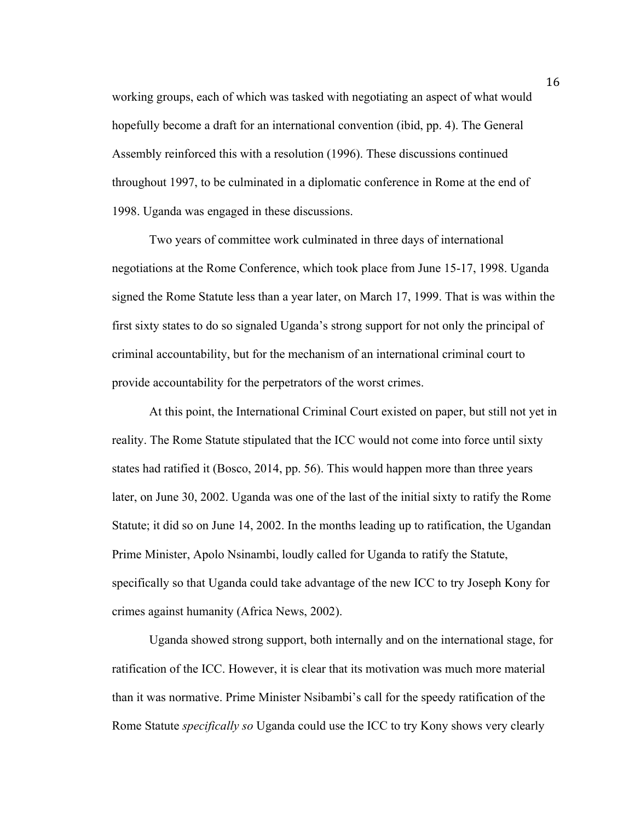working groups, each of which was tasked with negotiating an aspect of what would hopefully become a draft for an international convention (ibid, pp. 4). The General Assembly reinforced this with a resolution (1996). These discussions continued throughout 1997, to be culminated in a diplomatic conference in Rome at the end of 1998. Uganda was engaged in these discussions.

Two years of committee work culminated in three days of international negotiations at the Rome Conference, which took place from June 15-17, 1998. Uganda signed the Rome Statute less than a year later, on March 17, 1999. That is was within the first sixty states to do so signaled Uganda's strong support for not only the principal of criminal accountability, but for the mechanism of an international criminal court to provide accountability for the perpetrators of the worst crimes.

At this point, the International Criminal Court existed on paper, but still not yet in reality. The Rome Statute stipulated that the ICC would not come into force until sixty states had ratified it (Bosco, 2014, pp. 56). This would happen more than three years later, on June 30, 2002. Uganda was one of the last of the initial sixty to ratify the Rome Statute; it did so on June 14, 2002. In the months leading up to ratification, the Ugandan Prime Minister, Apolo Nsinambi, loudly called for Uganda to ratify the Statute, specifically so that Uganda could take advantage of the new ICC to try Joseph Kony for crimes against humanity (Africa News, 2002).

Uganda showed strong support, both internally and on the international stage, for ratification of the ICC. However, it is clear that its motivation was much more material than it was normative. Prime Minister Nsibambi's call for the speedy ratification of the Rome Statute *specifically so* Uganda could use the ICC to try Kony shows very clearly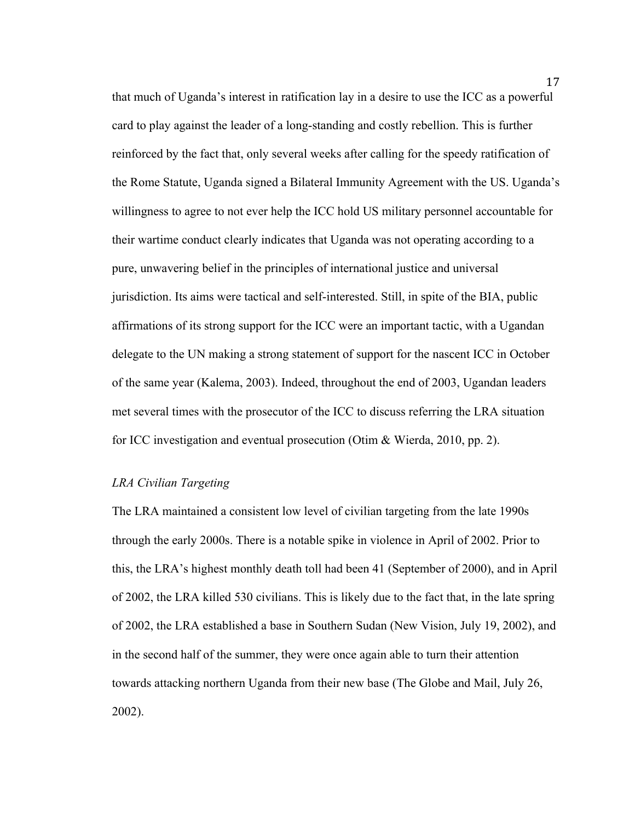that much of Uganda's interest in ratification lay in a desire to use the ICC as a powerful card to play against the leader of a long-standing and costly rebellion. This is further reinforced by the fact that, only several weeks after calling for the speedy ratification of the Rome Statute, Uganda signed a Bilateral Immunity Agreement with the US. Uganda's willingness to agree to not ever help the ICC hold US military personnel accountable for their wartime conduct clearly indicates that Uganda was not operating according to a pure, unwavering belief in the principles of international justice and universal jurisdiction. Its aims were tactical and self-interested. Still, in spite of the BIA, public affirmations of its strong support for the ICC were an important tactic, with a Ugandan delegate to the UN making a strong statement of support for the nascent ICC in October of the same year (Kalema, 2003). Indeed, throughout the end of 2003, Ugandan leaders met several times with the prosecutor of the ICC to discuss referring the LRA situation for ICC investigation and eventual prosecution (Otim & Wierda, 2010, pp. 2).

## *LRA Civilian Targeting*

The LRA maintained a consistent low level of civilian targeting from the late 1990s through the early 2000s. There is a notable spike in violence in April of 2002. Prior to this, the LRA's highest monthly death toll had been 41 (September of 2000), and in April of 2002, the LRA killed 530 civilians. This is likely due to the fact that, in the late spring of 2002, the LRA established a base in Southern Sudan (New Vision, July 19, 2002), and in the second half of the summer, they were once again able to turn their attention towards attacking northern Uganda from their new base (The Globe and Mail, July 26, 2002).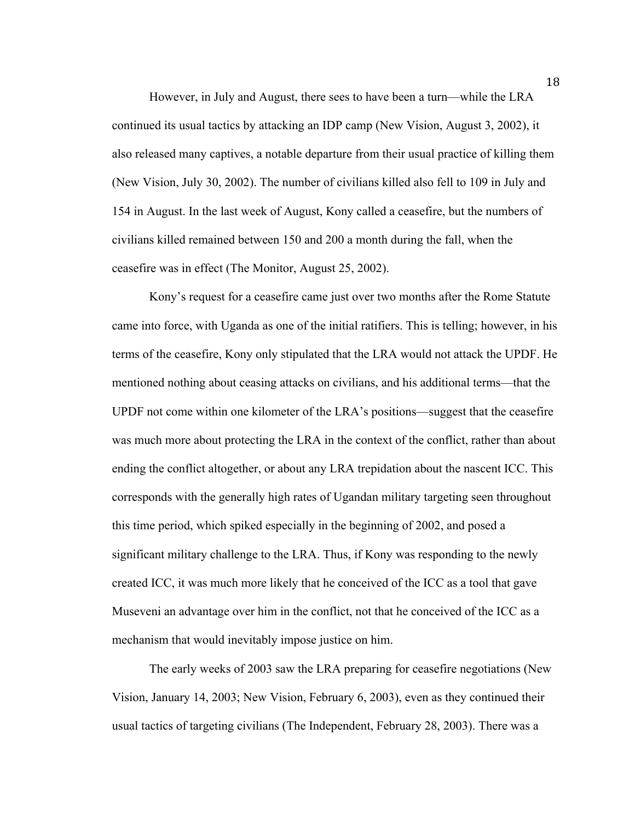However, in July and August, there sees to have been a turn—while the LRA continued its usual tactics by attacking an IDP camp (New Vision, August 3, 2002), it also released many captives, a notable departure from their usual practice of killing them (New Vision, July 30, 2002). The number of civilians killed also fell to 109 in July and 154 in August. In the last week of August, Kony called a ceasefire, but the numbers of civilians killed remained between 150 and 200 a month during the fall, when the ceasefire was in effect (The Monitor, August 25, 2002).

Kony's request for a ceasefire came just over two months after the Rome Statute came into force, with Uganda as one of the initial ratifiers. This is telling; however, in his terms of the ceasefire, Kony only stipulated that the LRA would not attack the UPDF. He mentioned nothing about ceasing attacks on civilians, and his additional terms—that the UPDF not come within one kilometer of the LRA's positions—suggest that the ceasefire was much more about protecting the LRA in the context of the conflict, rather than about ending the conflict altogether, or about any LRA trepidation about the nascent ICC. This corresponds with the generally high rates of Ugandan military targeting seen throughout this time period, which spiked especially in the beginning of 2002, and posed a significant military challenge to the LRA. Thus, if Kony was responding to the newly created ICC, it was much more likely that he conceived of the ICC as a tool that gave Museveni an advantage over him in the conflict, not that he conceived of the ICC as a mechanism that would inevitably impose justice on him.

The early weeks of 2003 saw the LRA preparing for ceasefire negotiations (New Vision, January 14, 2003; New Vision, February 6, 2003), even as they continued their usual tactics of targeting civilians (The Independent, February 28, 2003). There was a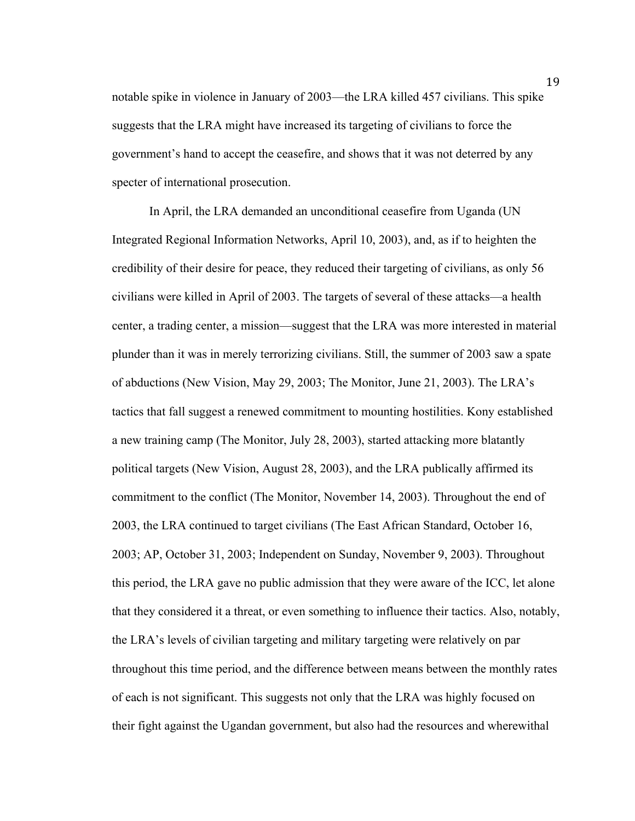notable spike in violence in January of 2003—the LRA killed 457 civilians. This spike suggests that the LRA might have increased its targeting of civilians to force the government's hand to accept the ceasefire, and shows that it was not deterred by any specter of international prosecution.

In April, the LRA demanded an unconditional ceasefire from Uganda (UN Integrated Regional Information Networks, April 10, 2003), and, as if to heighten the credibility of their desire for peace, they reduced their targeting of civilians, as only 56 civilians were killed in April of 2003. The targets of several of these attacks—a health center, a trading center, a mission—suggest that the LRA was more interested in material plunder than it was in merely terrorizing civilians. Still, the summer of 2003 saw a spate of abductions (New Vision, May 29, 2003; The Monitor, June 21, 2003). The LRA's tactics that fall suggest a renewed commitment to mounting hostilities. Kony established a new training camp (The Monitor, July 28, 2003), started attacking more blatantly political targets (New Vision, August 28, 2003), and the LRA publically affirmed its commitment to the conflict (The Monitor, November 14, 2003). Throughout the end of 2003, the LRA continued to target civilians (The East African Standard, October 16, 2003; AP, October 31, 2003; Independent on Sunday, November 9, 2003). Throughout this period, the LRA gave no public admission that they were aware of the ICC, let alone that they considered it a threat, or even something to influence their tactics. Also, notably, the LRA's levels of civilian targeting and military targeting were relatively on par throughout this time period, and the difference between means between the monthly rates of each is not significant. This suggests not only that the LRA was highly focused on their fight against the Ugandan government, but also had the resources and wherewithal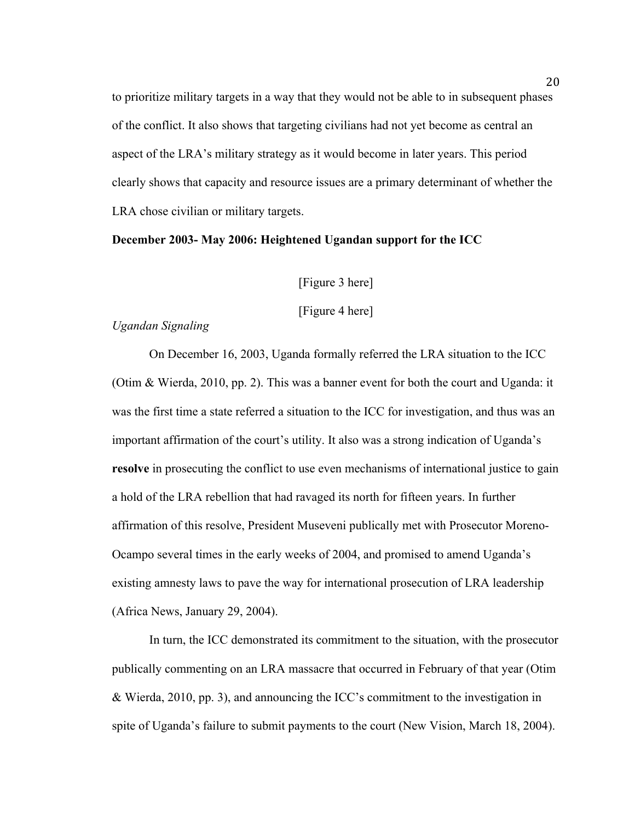to prioritize military targets in a way that they would not be able to in subsequent phases of the conflict. It also shows that targeting civilians had not yet become as central an aspect of the LRA's military strategy as it would become in later years. This period clearly shows that capacity and resource issues are a primary determinant of whether the LRA chose civilian or military targets.

# **December 2003- May 2006: Heightened Ugandan support for the ICC**

[Figure 3 here]

[Figure 4 here]

## *Ugandan Signaling*

On December 16, 2003, Uganda formally referred the LRA situation to the ICC (Otim & Wierda, 2010, pp. 2). This was a banner event for both the court and Uganda: it was the first time a state referred a situation to the ICC for investigation, and thus was an important affirmation of the court's utility. It also was a strong indication of Uganda's **resolve** in prosecuting the conflict to use even mechanisms of international justice to gain a hold of the LRA rebellion that had ravaged its north for fifteen years. In further affirmation of this resolve, President Museveni publically met with Prosecutor Moreno-Ocampo several times in the early weeks of 2004, and promised to amend Uganda's existing amnesty laws to pave the way for international prosecution of LRA leadership (Africa News, January 29, 2004).

In turn, the ICC demonstrated its commitment to the situation, with the prosecutor publically commenting on an LRA massacre that occurred in February of that year (Otim & Wierda, 2010, pp. 3), and announcing the ICC's commitment to the investigation in spite of Uganda's failure to submit payments to the court (New Vision, March 18, 2004).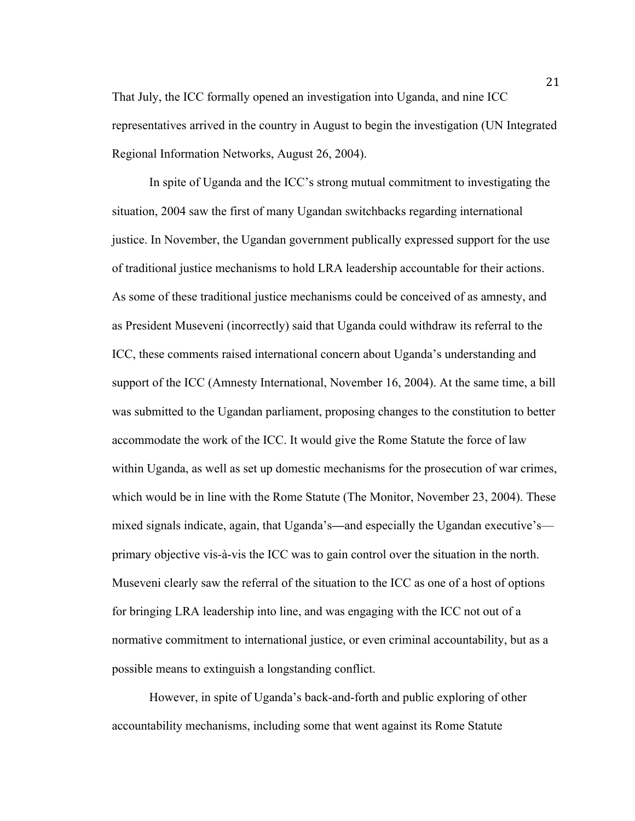That July, the ICC formally opened an investigation into Uganda, and nine ICC representatives arrived in the country in August to begin the investigation (UN Integrated Regional Information Networks, August 26, 2004).

In spite of Uganda and the ICC's strong mutual commitment to investigating the situation, 2004 saw the first of many Ugandan switchbacks regarding international justice. In November, the Ugandan government publically expressed support for the use of traditional justice mechanisms to hold LRA leadership accountable for their actions. As some of these traditional justice mechanisms could be conceived of as amnesty, and as President Museveni (incorrectly) said that Uganda could withdraw its referral to the ICC, these comments raised international concern about Uganda's understanding and support of the ICC (Amnesty International, November 16, 2004). At the same time, a bill was submitted to the Ugandan parliament, proposing changes to the constitution to better accommodate the work of the ICC. It would give the Rome Statute the force of law within Uganda, as well as set up domestic mechanisms for the prosecution of war crimes, which would be in line with the Rome Statute (The Monitor, November 23, 2004). These mixed signals indicate, again, that Uganda's**—**and especially the Ugandan executive's primary objective vis-à-vis the ICC was to gain control over the situation in the north. Museveni clearly saw the referral of the situation to the ICC as one of a host of options for bringing LRA leadership into line, and was engaging with the ICC not out of a normative commitment to international justice, or even criminal accountability, but as a possible means to extinguish a longstanding conflict.

However, in spite of Uganda's back-and-forth and public exploring of other accountability mechanisms, including some that went against its Rome Statute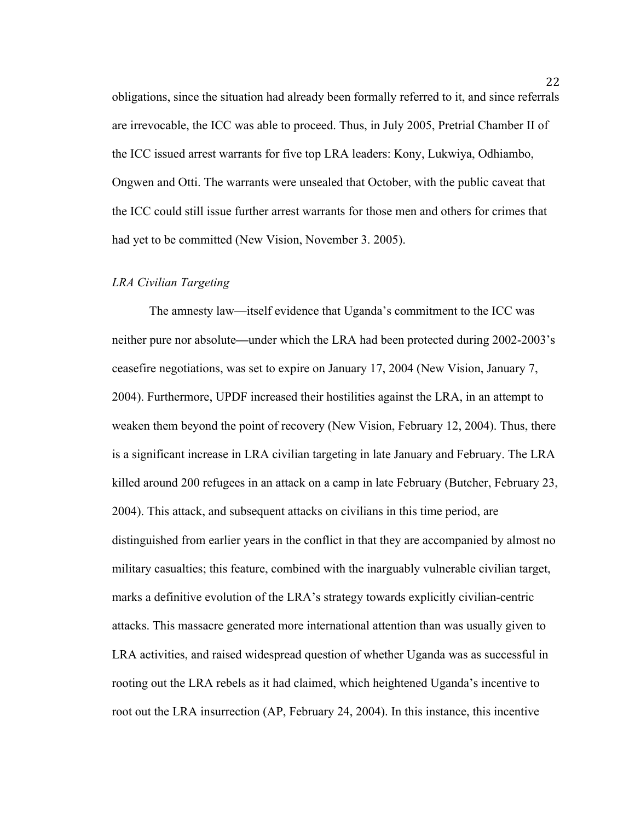obligations, since the situation had already been formally referred to it, and since referrals are irrevocable, the ICC was able to proceed. Thus, in July 2005, Pretrial Chamber II of the ICC issued arrest warrants for five top LRA leaders: Kony, Lukwiya, Odhiambo, Ongwen and Otti. The warrants were unsealed that October, with the public caveat that the ICC could still issue further arrest warrants for those men and others for crimes that had yet to be committed (New Vision, November 3. 2005).

#### *LRA Civilian Targeting*

The amnesty law—itself evidence that Uganda's commitment to the ICC was neither pure nor absolute**—**under which the LRA had been protected during 2002-2003's ceasefire negotiations, was set to expire on January 17, 2004 (New Vision, January 7, 2004). Furthermore, UPDF increased their hostilities against the LRA, in an attempt to weaken them beyond the point of recovery (New Vision, February 12, 2004). Thus, there is a significant increase in LRA civilian targeting in late January and February. The LRA killed around 200 refugees in an attack on a camp in late February (Butcher, February 23, 2004). This attack, and subsequent attacks on civilians in this time period, are distinguished from earlier years in the conflict in that they are accompanied by almost no military casualties; this feature, combined with the inarguably vulnerable civilian target, marks a definitive evolution of the LRA's strategy towards explicitly civilian-centric attacks. This massacre generated more international attention than was usually given to LRA activities, and raised widespread question of whether Uganda was as successful in rooting out the LRA rebels as it had claimed, which heightened Uganda's incentive to root out the LRA insurrection (AP, February 24, 2004). In this instance, this incentive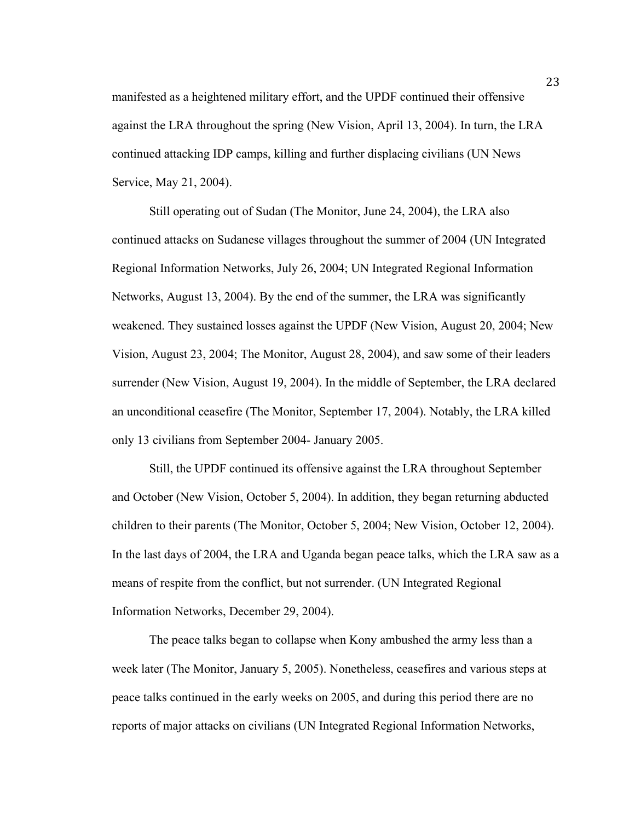manifested as a heightened military effort, and the UPDF continued their offensive against the LRA throughout the spring (New Vision, April 13, 2004). In turn, the LRA continued attacking IDP camps, killing and further displacing civilians (UN News Service, May 21, 2004).

Still operating out of Sudan (The Monitor, June 24, 2004), the LRA also continued attacks on Sudanese villages throughout the summer of 2004 (UN Integrated Regional Information Networks, July 26, 2004; UN Integrated Regional Information Networks, August 13, 2004). By the end of the summer, the LRA was significantly weakened. They sustained losses against the UPDF (New Vision, August 20, 2004; New Vision, August 23, 2004; The Monitor, August 28, 2004), and saw some of their leaders surrender (New Vision, August 19, 2004). In the middle of September, the LRA declared an unconditional ceasefire (The Monitor, September 17, 2004). Notably, the LRA killed only 13 civilians from September 2004- January 2005.

Still, the UPDF continued its offensive against the LRA throughout September and October (New Vision, October 5, 2004). In addition, they began returning abducted children to their parents (The Monitor, October 5, 2004; New Vision, October 12, 2004). In the last days of 2004, the LRA and Uganda began peace talks, which the LRA saw as a means of respite from the conflict, but not surrender. (UN Integrated Regional Information Networks, December 29, 2004).

The peace talks began to collapse when Kony ambushed the army less than a week later (The Monitor, January 5, 2005). Nonetheless, ceasefires and various steps at peace talks continued in the early weeks on 2005, and during this period there are no reports of major attacks on civilians (UN Integrated Regional Information Networks,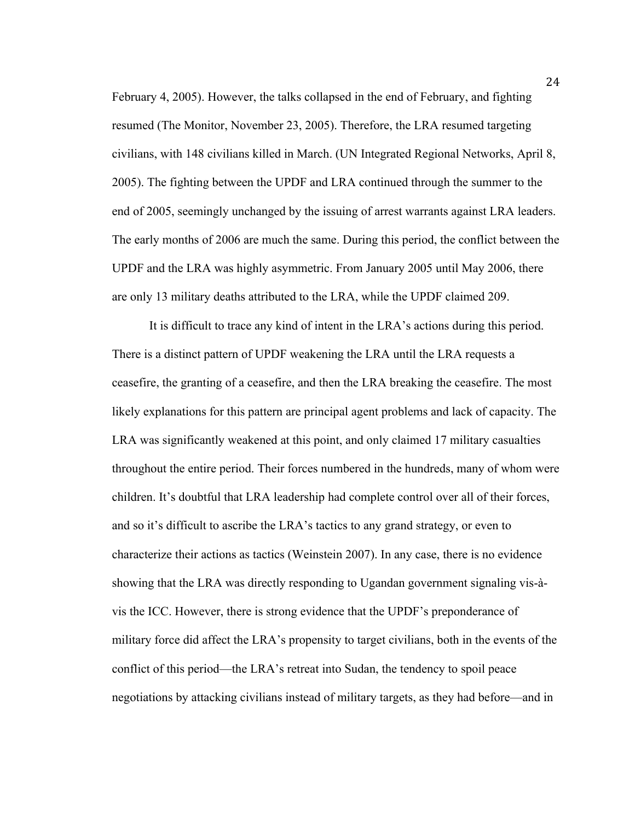February 4, 2005). However, the talks collapsed in the end of February, and fighting resumed (The Monitor, November 23, 2005). Therefore, the LRA resumed targeting civilians, with 148 civilians killed in March. (UN Integrated Regional Networks, April 8, 2005). The fighting between the UPDF and LRA continued through the summer to the end of 2005, seemingly unchanged by the issuing of arrest warrants against LRA leaders. The early months of 2006 are much the same. During this period, the conflict between the UPDF and the LRA was highly asymmetric. From January 2005 until May 2006, there are only 13 military deaths attributed to the LRA, while the UPDF claimed 209.

It is difficult to trace any kind of intent in the LRA's actions during this period. There is a distinct pattern of UPDF weakening the LRA until the LRA requests a ceasefire, the granting of a ceasefire, and then the LRA breaking the ceasefire. The most likely explanations for this pattern are principal agent problems and lack of capacity. The LRA was significantly weakened at this point, and only claimed 17 military casualties throughout the entire period. Their forces numbered in the hundreds, many of whom were children. It's doubtful that LRA leadership had complete control over all of their forces, and so it's difficult to ascribe the LRA's tactics to any grand strategy, or even to characterize their actions as tactics (Weinstein 2007). In any case, there is no evidence showing that the LRA was directly responding to Ugandan government signaling vis-àvis the ICC. However, there is strong evidence that the UPDF's preponderance of military force did affect the LRA's propensity to target civilians, both in the events of the conflict of this period—the LRA's retreat into Sudan, the tendency to spoil peace negotiations by attacking civilians instead of military targets, as they had before—and in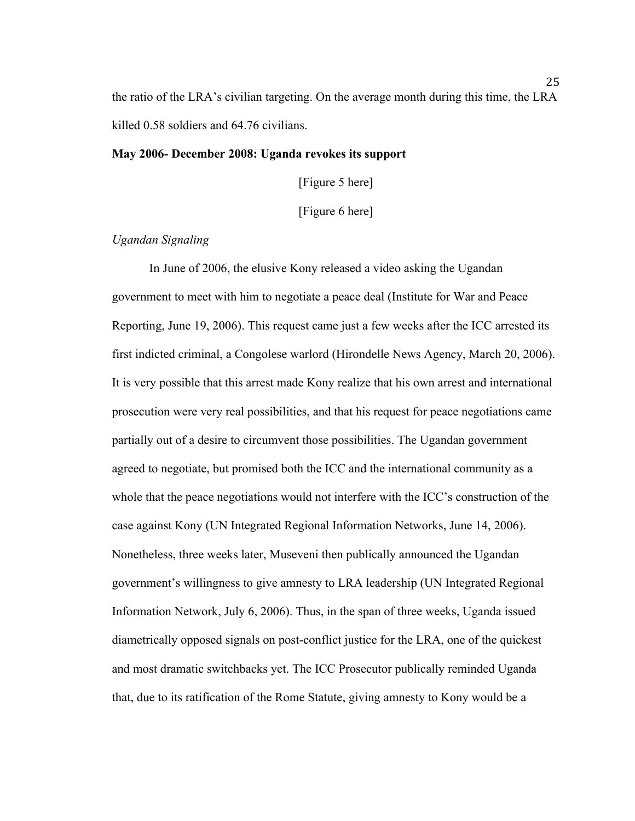the ratio of the LRA's civilian targeting. On the average month during this time, the LRA killed 0.58 soldiers and 64.76 civilians.

# **May 2006- December 2008: Uganda revokes its support**

[Figure 5 here]

[Figure 6 here]

# *Ugandan Signaling*

In June of 2006, the elusive Kony released a video asking the Ugandan government to meet with him to negotiate a peace deal (Institute for War and Peace Reporting, June 19, 2006). This request came just a few weeks after the ICC arrested its first indicted criminal, a Congolese warlord (Hirondelle News Agency, March 20, 2006). It is very possible that this arrest made Kony realize that his own arrest and international prosecution were very real possibilities, and that his request for peace negotiations came partially out of a desire to circumvent those possibilities. The Ugandan government agreed to negotiate, but promised both the ICC and the international community as a whole that the peace negotiations would not interfere with the ICC's construction of the case against Kony (UN Integrated Regional Information Networks, June 14, 2006). Nonetheless, three weeks later, Museveni then publically announced the Ugandan government's willingness to give amnesty to LRA leadership (UN Integrated Regional Information Network, July 6, 2006). Thus, in the span of three weeks, Uganda issued diametrically opposed signals on post-conflict justice for the LRA, one of the quickest and most dramatic switchbacks yet. The ICC Prosecutor publically reminded Uganda that, due to its ratification of the Rome Statute, giving amnesty to Kony would be a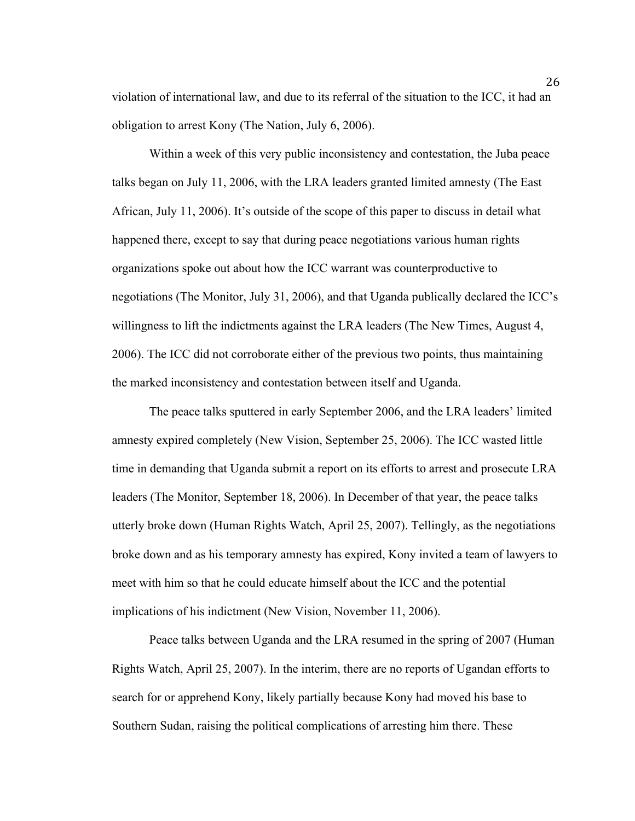violation of international law, and due to its referral of the situation to the ICC, it had an obligation to arrest Kony (The Nation, July 6, 2006).

Within a week of this very public inconsistency and contestation, the Juba peace talks began on July 11, 2006, with the LRA leaders granted limited amnesty (The East African, July 11, 2006). It's outside of the scope of this paper to discuss in detail what happened there, except to say that during peace negotiations various human rights organizations spoke out about how the ICC warrant was counterproductive to negotiations (The Monitor, July 31, 2006), and that Uganda publically declared the ICC's willingness to lift the indictments against the LRA leaders (The New Times, August 4, 2006). The ICC did not corroborate either of the previous two points, thus maintaining the marked inconsistency and contestation between itself and Uganda.

The peace talks sputtered in early September 2006, and the LRA leaders' limited amnesty expired completely (New Vision, September 25, 2006). The ICC wasted little time in demanding that Uganda submit a report on its efforts to arrest and prosecute LRA leaders (The Monitor, September 18, 2006). In December of that year, the peace talks utterly broke down (Human Rights Watch, April 25, 2007). Tellingly, as the negotiations broke down and as his temporary amnesty has expired, Kony invited a team of lawyers to meet with him so that he could educate himself about the ICC and the potential implications of his indictment (New Vision, November 11, 2006).

Peace talks between Uganda and the LRA resumed in the spring of 2007 (Human Rights Watch, April 25, 2007). In the interim, there are no reports of Ugandan efforts to search for or apprehend Kony, likely partially because Kony had moved his base to Southern Sudan, raising the political complications of arresting him there. These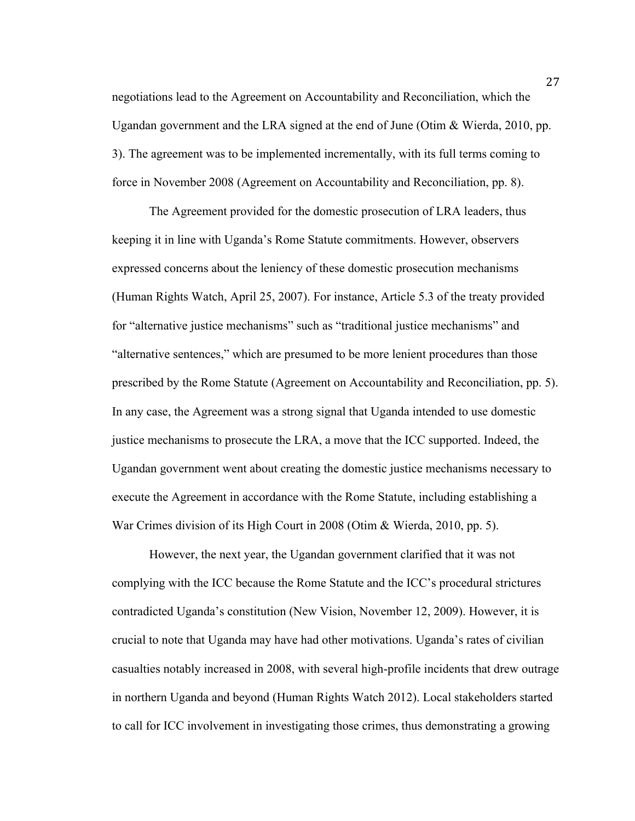negotiations lead to the Agreement on Accountability and Reconciliation, which the Ugandan government and the LRA signed at the end of June (Otim & Wierda, 2010, pp. 3). The agreement was to be implemented incrementally, with its full terms coming to force in November 2008 (Agreement on Accountability and Reconciliation, pp. 8).

The Agreement provided for the domestic prosecution of LRA leaders, thus keeping it in line with Uganda's Rome Statute commitments. However, observers expressed concerns about the leniency of these domestic prosecution mechanisms (Human Rights Watch, April 25, 2007). For instance, Article 5.3 of the treaty provided for "alternative justice mechanisms" such as "traditional justice mechanisms" and "alternative sentences," which are presumed to be more lenient procedures than those prescribed by the Rome Statute (Agreement on Accountability and Reconciliation, pp. 5). In any case, the Agreement was a strong signal that Uganda intended to use domestic justice mechanisms to prosecute the LRA, a move that the ICC supported. Indeed, the Ugandan government went about creating the domestic justice mechanisms necessary to execute the Agreement in accordance with the Rome Statute, including establishing a War Crimes division of its High Court in 2008 (Otim & Wierda, 2010, pp. 5).

However, the next year, the Ugandan government clarified that it was not complying with the ICC because the Rome Statute and the ICC's procedural strictures contradicted Uganda's constitution (New Vision, November 12, 2009). However, it is crucial to note that Uganda may have had other motivations. Uganda's rates of civilian casualties notably increased in 2008, with several high-profile incidents that drew outrage in northern Uganda and beyond (Human Rights Watch 2012). Local stakeholders started to call for ICC involvement in investigating those crimes, thus demonstrating a growing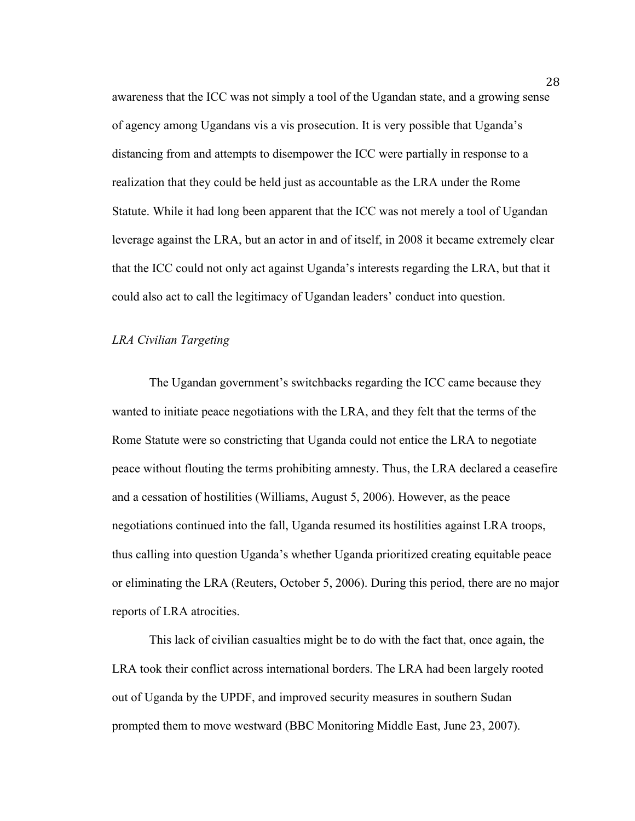awareness that the ICC was not simply a tool of the Ugandan state, and a growing sense of agency among Ugandans vis a vis prosecution. It is very possible that Uganda's distancing from and attempts to disempower the ICC were partially in response to a realization that they could be held just as accountable as the LRA under the Rome Statute. While it had long been apparent that the ICC was not merely a tool of Ugandan leverage against the LRA, but an actor in and of itself, in 2008 it became extremely clear that the ICC could not only act against Uganda's interests regarding the LRA, but that it could also act to call the legitimacy of Ugandan leaders' conduct into question.

# *LRA Civilian Targeting*

The Ugandan government's switchbacks regarding the ICC came because they wanted to initiate peace negotiations with the LRA, and they felt that the terms of the Rome Statute were so constricting that Uganda could not entice the LRA to negotiate peace without flouting the terms prohibiting amnesty. Thus, the LRA declared a ceasefire and a cessation of hostilities (Williams, August 5, 2006). However, as the peace negotiations continued into the fall, Uganda resumed its hostilities against LRA troops, thus calling into question Uganda's whether Uganda prioritized creating equitable peace or eliminating the LRA (Reuters, October 5, 2006). During this period, there are no major reports of LRA atrocities.

This lack of civilian casualties might be to do with the fact that, once again, the LRA took their conflict across international borders. The LRA had been largely rooted out of Uganda by the UPDF, and improved security measures in southern Sudan prompted them to move westward (BBC Monitoring Middle East, June 23, 2007).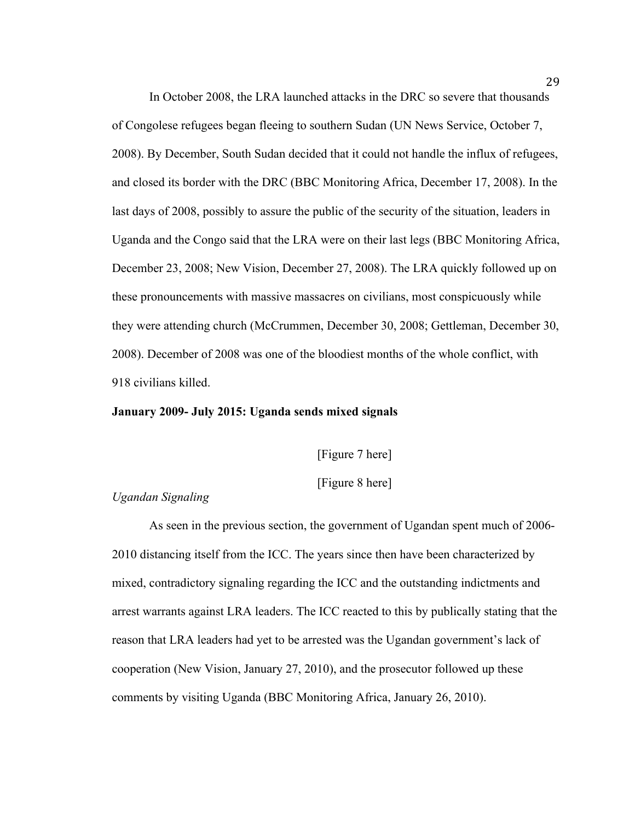In October 2008, the LRA launched attacks in the DRC so severe that thousands of Congolese refugees began fleeing to southern Sudan (UN News Service, October 7, 2008). By December, South Sudan decided that it could not handle the influx of refugees, and closed its border with the DRC (BBC Monitoring Africa, December 17, 2008). In the last days of 2008, possibly to assure the public of the security of the situation, leaders in Uganda and the Congo said that the LRA were on their last legs (BBC Monitoring Africa, December 23, 2008; New Vision, December 27, 2008). The LRA quickly followed up on these pronouncements with massive massacres on civilians, most conspicuously while they were attending church (McCrummen, December 30, 2008; Gettleman, December 30, 2008). December of 2008 was one of the bloodiest months of the whole conflict, with 918 civilians killed.

# **January 2009- July 2015: Uganda sends mixed signals**

[Figure 7 here]

[Figure 8 here]

# *Ugandan Signaling*

As seen in the previous section, the government of Ugandan spent much of 2006- 2010 distancing itself from the ICC. The years since then have been characterized by mixed, contradictory signaling regarding the ICC and the outstanding indictments and arrest warrants against LRA leaders. The ICC reacted to this by publically stating that the reason that LRA leaders had yet to be arrested was the Ugandan government's lack of cooperation (New Vision, January 27, 2010), and the prosecutor followed up these comments by visiting Uganda (BBC Monitoring Africa, January 26, 2010).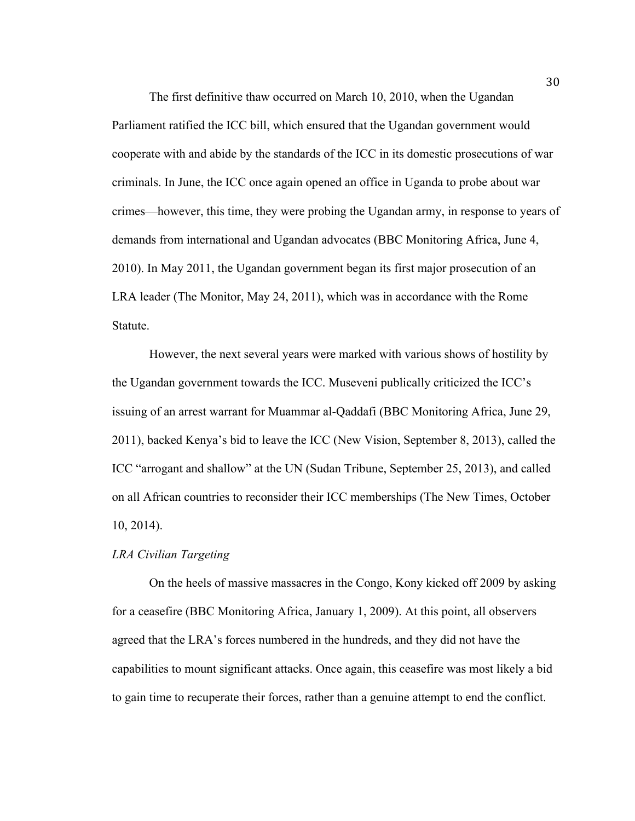The first definitive thaw occurred on March 10, 2010, when the Ugandan Parliament ratified the ICC bill, which ensured that the Ugandan government would cooperate with and abide by the standards of the ICC in its domestic prosecutions of war criminals. In June, the ICC once again opened an office in Uganda to probe about war crimes—however, this time, they were probing the Ugandan army, in response to years of demands from international and Ugandan advocates (BBC Monitoring Africa, June 4, 2010). In May 2011, the Ugandan government began its first major prosecution of an LRA leader (The Monitor, May 24, 2011), which was in accordance with the Rome Statute.

However, the next several years were marked with various shows of hostility by the Ugandan government towards the ICC. Museveni publically criticized the ICC's issuing of an arrest warrant for Muammar al-Qaddafi (BBC Monitoring Africa, June 29, 2011), backed Kenya's bid to leave the ICC (New Vision, September 8, 2013), called the ICC "arrogant and shallow" at the UN (Sudan Tribune, September 25, 2013), and called on all African countries to reconsider their ICC memberships (The New Times, October 10, 2014).

# *LRA Civilian Targeting*

On the heels of massive massacres in the Congo, Kony kicked off 2009 by asking for a ceasefire (BBC Monitoring Africa, January 1, 2009). At this point, all observers agreed that the LRA's forces numbered in the hundreds, and they did not have the capabilities to mount significant attacks. Once again, this ceasefire was most likely a bid to gain time to recuperate their forces, rather than a genuine attempt to end the conflict.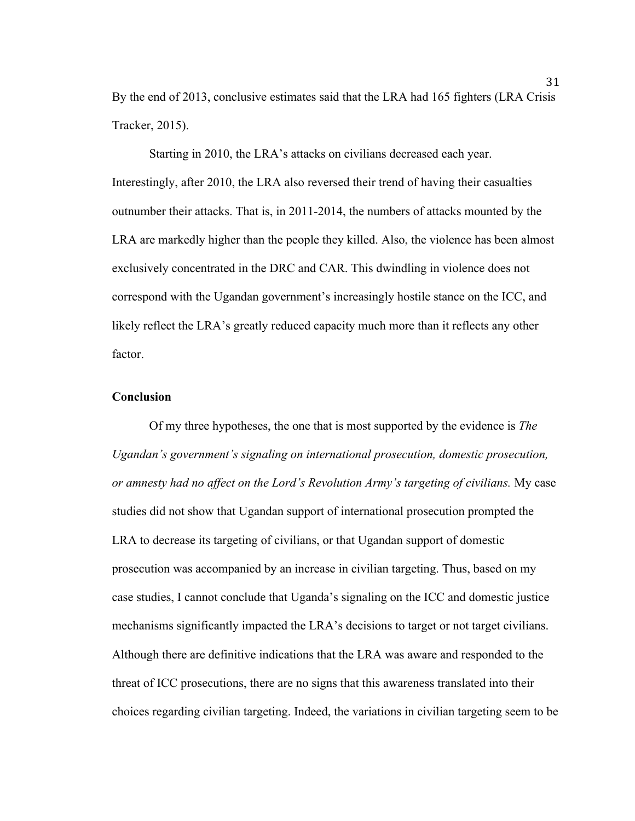By the end of 2013, conclusive estimates said that the LRA had 165 fighters (LRA Crisis Tracker, 2015).

Starting in 2010, the LRA's attacks on civilians decreased each year. Interestingly, after 2010, the LRA also reversed their trend of having their casualties outnumber their attacks. That is, in 2011-2014, the numbers of attacks mounted by the LRA are markedly higher than the people they killed. Also, the violence has been almost exclusively concentrated in the DRC and CAR. This dwindling in violence does not correspond with the Ugandan government's increasingly hostile stance on the ICC, and likely reflect the LRA's greatly reduced capacity much more than it reflects any other factor.

# **Conclusion**

Of my three hypotheses, the one that is most supported by the evidence is *The Ugandan's government's signaling on international prosecution, domestic prosecution, or amnesty had no affect on the Lord's Revolution Army's targeting of civilians.* My case studies did not show that Ugandan support of international prosecution prompted the LRA to decrease its targeting of civilians, or that Ugandan support of domestic prosecution was accompanied by an increase in civilian targeting. Thus, based on my case studies, I cannot conclude that Uganda's signaling on the ICC and domestic justice mechanisms significantly impacted the LRA's decisions to target or not target civilians. Although there are definitive indications that the LRA was aware and responded to the threat of ICC prosecutions, there are no signs that this awareness translated into their choices regarding civilian targeting. Indeed, the variations in civilian targeting seem to be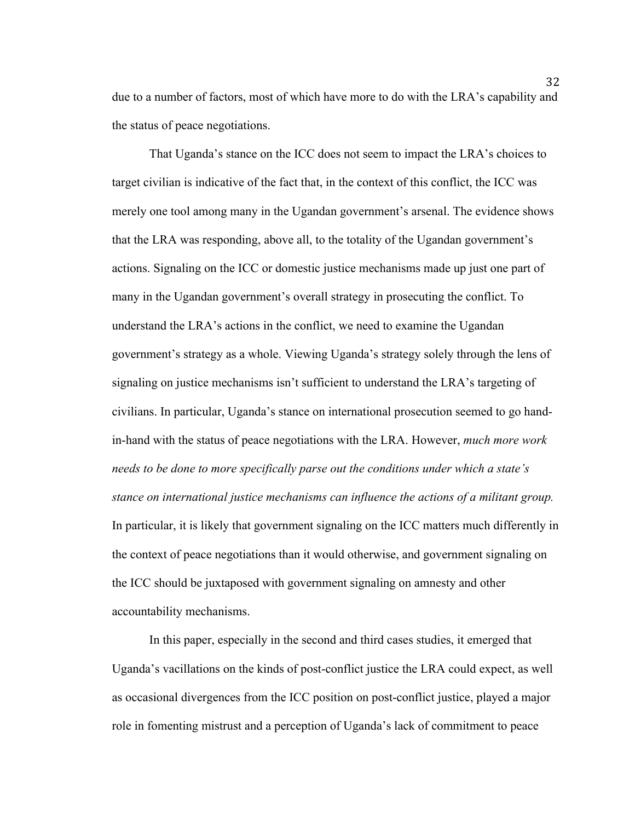due to a number of factors, most of which have more to do with the LRA's capability and the status of peace negotiations.

That Uganda's stance on the ICC does not seem to impact the LRA's choices to target civilian is indicative of the fact that, in the context of this conflict, the ICC was merely one tool among many in the Ugandan government's arsenal. The evidence shows that the LRA was responding, above all, to the totality of the Ugandan government's actions. Signaling on the ICC or domestic justice mechanisms made up just one part of many in the Ugandan government's overall strategy in prosecuting the conflict. To understand the LRA's actions in the conflict, we need to examine the Ugandan government's strategy as a whole. Viewing Uganda's strategy solely through the lens of signaling on justice mechanisms isn't sufficient to understand the LRA's targeting of civilians. In particular, Uganda's stance on international prosecution seemed to go handin-hand with the status of peace negotiations with the LRA. However, *much more work needs to be done to more specifically parse out the conditions under which a state's stance on international justice mechanisms can influence the actions of a militant group.*  In particular, it is likely that government signaling on the ICC matters much differently in the context of peace negotiations than it would otherwise, and government signaling on the ICC should be juxtaposed with government signaling on amnesty and other accountability mechanisms.

In this paper, especially in the second and third cases studies, it emerged that Uganda's vacillations on the kinds of post-conflict justice the LRA could expect, as well as occasional divergences from the ICC position on post-conflict justice, played a major role in fomenting mistrust and a perception of Uganda's lack of commitment to peace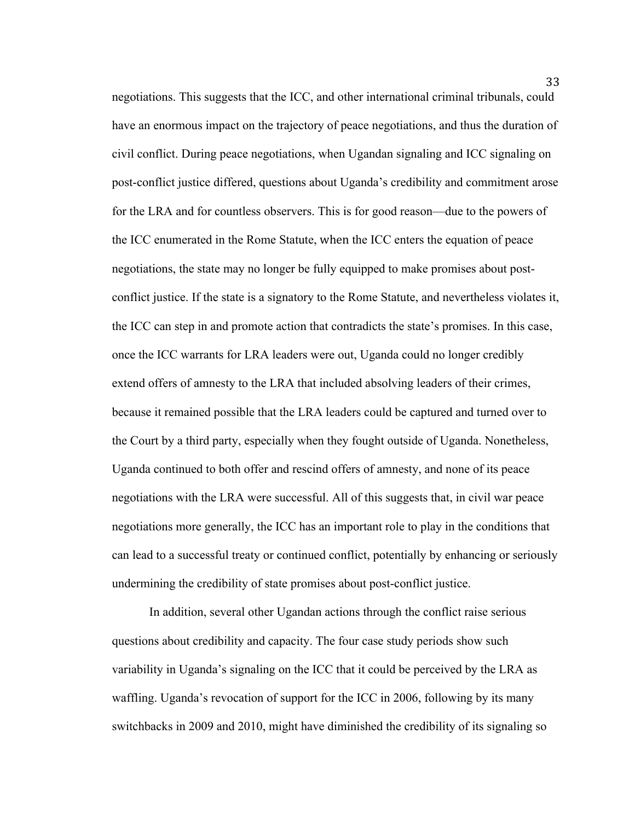negotiations. This suggests that the ICC, and other international criminal tribunals, could have an enormous impact on the trajectory of peace negotiations, and thus the duration of civil conflict. During peace negotiations, when Ugandan signaling and ICC signaling on post-conflict justice differed, questions about Uganda's credibility and commitment arose for the LRA and for countless observers. This is for good reason—due to the powers of the ICC enumerated in the Rome Statute, when the ICC enters the equation of peace negotiations, the state may no longer be fully equipped to make promises about postconflict justice. If the state is a signatory to the Rome Statute, and nevertheless violates it, the ICC can step in and promote action that contradicts the state's promises. In this case, once the ICC warrants for LRA leaders were out, Uganda could no longer credibly extend offers of amnesty to the LRA that included absolving leaders of their crimes, because it remained possible that the LRA leaders could be captured and turned over to the Court by a third party, especially when they fought outside of Uganda. Nonetheless, Uganda continued to both offer and rescind offers of amnesty, and none of its peace negotiations with the LRA were successful. All of this suggests that, in civil war peace negotiations more generally, the ICC has an important role to play in the conditions that can lead to a successful treaty or continued conflict, potentially by enhancing or seriously undermining the credibility of state promises about post-conflict justice.

In addition, several other Ugandan actions through the conflict raise serious questions about credibility and capacity. The four case study periods show such variability in Uganda's signaling on the ICC that it could be perceived by the LRA as waffling. Uganda's revocation of support for the ICC in 2006, following by its many switchbacks in 2009 and 2010, might have diminished the credibility of its signaling so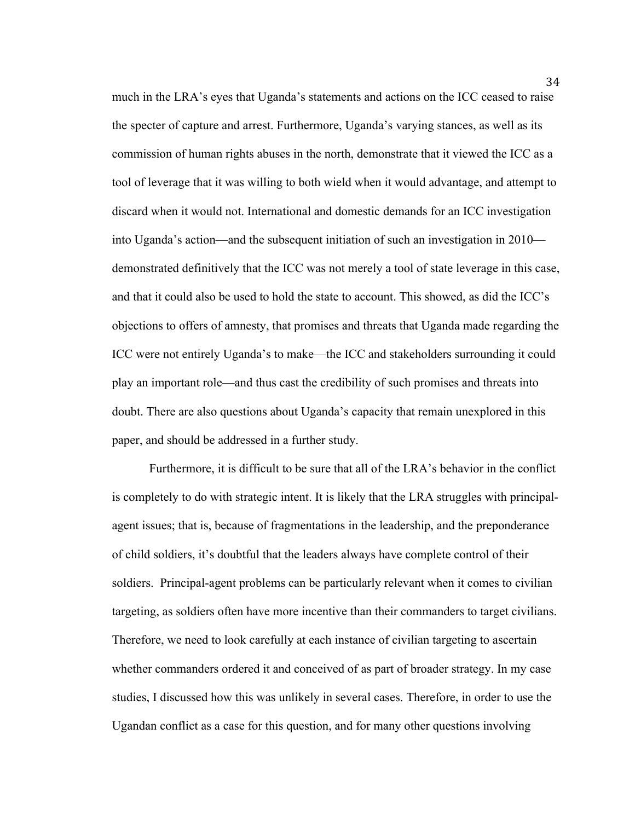much in the LRA's eyes that Uganda's statements and actions on the ICC ceased to raise the specter of capture and arrest. Furthermore, Uganda's varying stances, as well as its commission of human rights abuses in the north, demonstrate that it viewed the ICC as a tool of leverage that it was willing to both wield when it would advantage, and attempt to discard when it would not. International and domestic demands for an ICC investigation into Uganda's action—and the subsequent initiation of such an investigation in 2010 demonstrated definitively that the ICC was not merely a tool of state leverage in this case, and that it could also be used to hold the state to account. This showed, as did the ICC's objections to offers of amnesty, that promises and threats that Uganda made regarding the ICC were not entirely Uganda's to make—the ICC and stakeholders surrounding it could play an important role—and thus cast the credibility of such promises and threats into doubt. There are also questions about Uganda's capacity that remain unexplored in this paper, and should be addressed in a further study.

Furthermore, it is difficult to be sure that all of the LRA's behavior in the conflict is completely to do with strategic intent. It is likely that the LRA struggles with principalagent issues; that is, because of fragmentations in the leadership, and the preponderance of child soldiers, it's doubtful that the leaders always have complete control of their soldiers. Principal-agent problems can be particularly relevant when it comes to civilian targeting, as soldiers often have more incentive than their commanders to target civilians. Therefore, we need to look carefully at each instance of civilian targeting to ascertain whether commanders ordered it and conceived of as part of broader strategy. In my case studies, I discussed how this was unlikely in several cases. Therefore, in order to use the Ugandan conflict as a case for this question, and for many other questions involving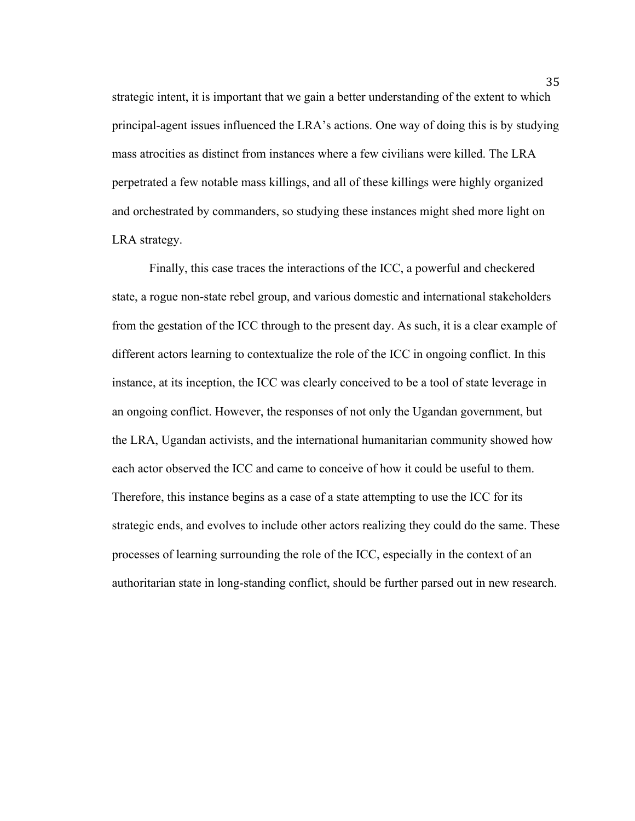strategic intent, it is important that we gain a better understanding of the extent to which principal-agent issues influenced the LRA's actions. One way of doing this is by studying mass atrocities as distinct from instances where a few civilians were killed. The LRA perpetrated a few notable mass killings, and all of these killings were highly organized and orchestrated by commanders, so studying these instances might shed more light on LRA strategy.

Finally, this case traces the interactions of the ICC, a powerful and checkered state, a rogue non-state rebel group, and various domestic and international stakeholders from the gestation of the ICC through to the present day. As such, it is a clear example of different actors learning to contextualize the role of the ICC in ongoing conflict. In this instance, at its inception, the ICC was clearly conceived to be a tool of state leverage in an ongoing conflict. However, the responses of not only the Ugandan government, but the LRA, Ugandan activists, and the international humanitarian community showed how each actor observed the ICC and came to conceive of how it could be useful to them. Therefore, this instance begins as a case of a state attempting to use the ICC for its strategic ends, and evolves to include other actors realizing they could do the same. These processes of learning surrounding the role of the ICC, especially in the context of an authoritarian state in long-standing conflict, should be further parsed out in new research.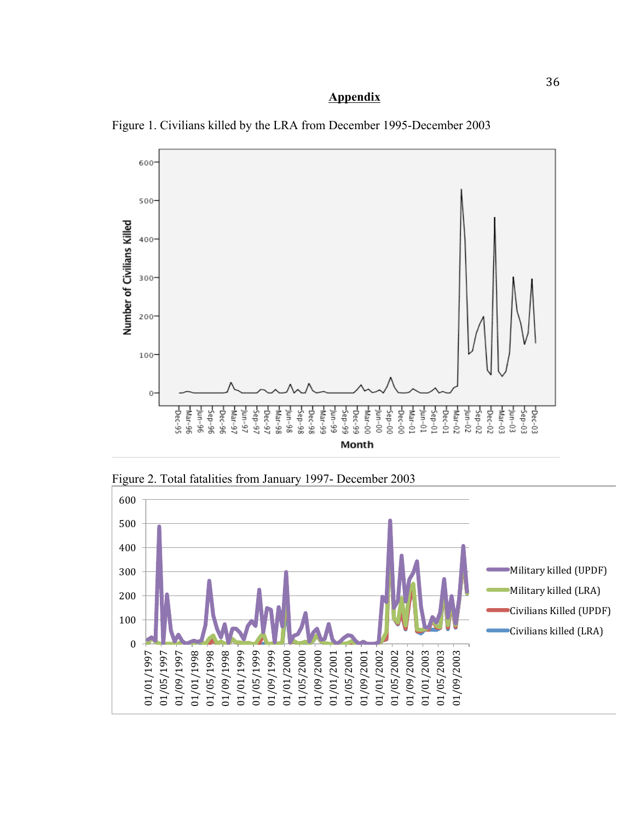# **Appendix**





Figure 2. Total fatalities from January 1997- December 2003

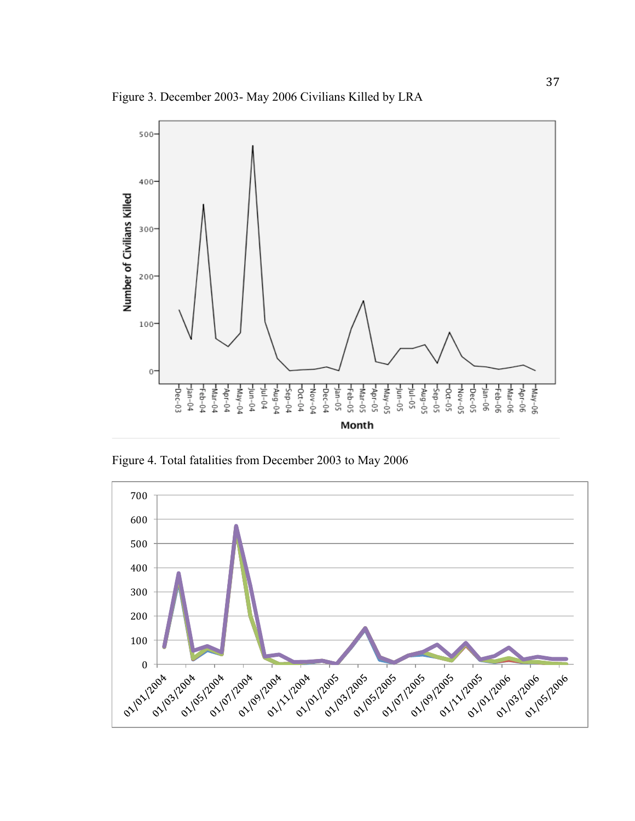Figure 3. December 2003- May 2006 Civilians Killed by LRA



Figure 4. Total fatalities from December 2003 to May 2006

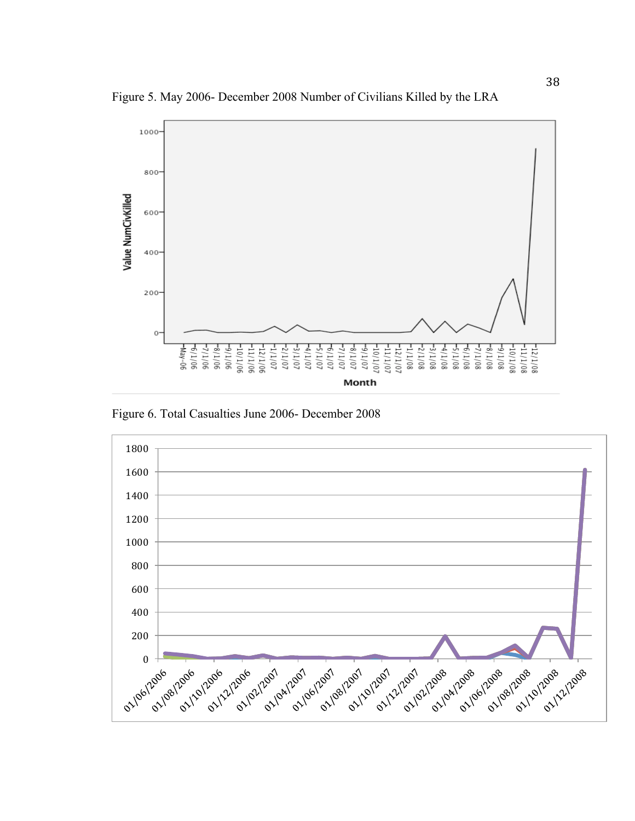Figure 5. May 2006- December 2008 Number of Civilians Killed by the LRA



Figure 6. Total Casualties June 2006- December 2008

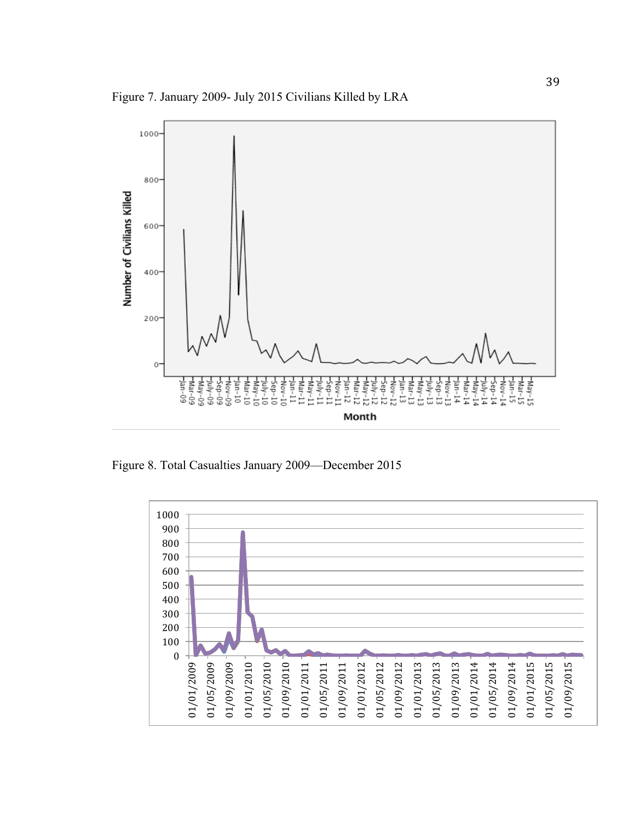Figure 7. January 2009- July 2015 Civilians Killed by LRA



Figure 8. Total Casualties January 2009—December 2015

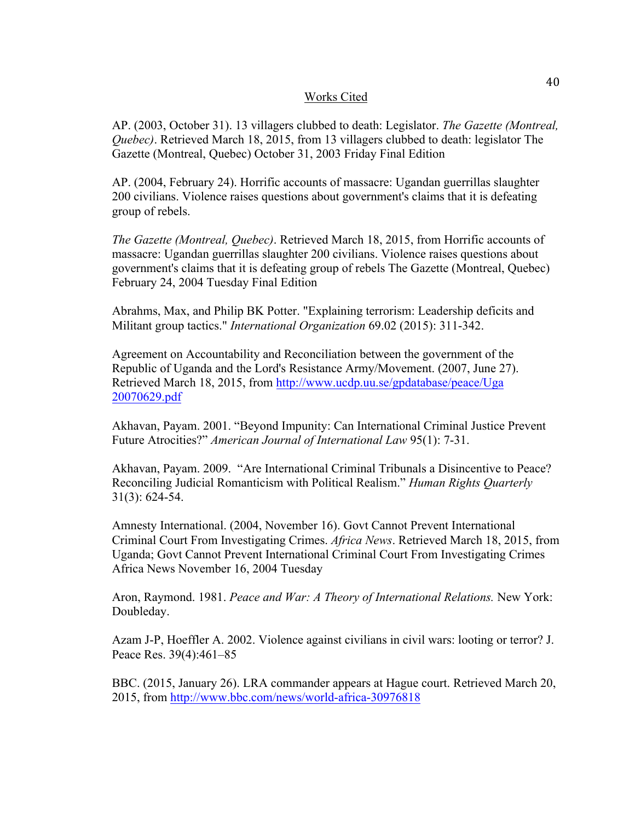# Works Cited

AP. (2003, October 31). 13 villagers clubbed to death: Legislator. *The Gazette (Montreal, Quebec)*. Retrieved March 18, 2015, from 13 villagers clubbed to death: legislator The Gazette (Montreal, Quebec) October 31, 2003 Friday Final Edition

AP. (2004, February 24). Horrific accounts of massacre: Ugandan guerrillas slaughter 200 civilians. Violence raises questions about government's claims that it is defeating group of rebels.

*The Gazette (Montreal, Quebec)*. Retrieved March 18, 2015, from Horrific accounts of massacre: Ugandan guerrillas slaughter 200 civilians. Violence raises questions about government's claims that it is defeating group of rebels The Gazette (Montreal, Quebec) February 24, 2004 Tuesday Final Edition

Abrahms, Max, and Philip BK Potter. "Explaining terrorism: Leadership deficits and Militant group tactics." *International Organization* 69.02 (2015): 311-342.

Agreement on Accountability and Reconciliation between the government of the Republic of Uganda and the Lord's Resistance Army/Movement. (2007, June 27). Retrieved March 18, 2015, from http://www.ucdp.uu.se/gpdatabase/peace/Uga 20070629.pdf

Akhavan, Payam. 2001. "Beyond Impunity: Can International Criminal Justice Prevent Future Atrocities?" *American Journal of International Law* 95(1): 7-31.

Akhavan, Payam. 2009. "Are International Criminal Tribunals a Disincentive to Peace? Reconciling Judicial Romanticism with Political Realism." *Human Rights Quarterly*  31(3): 624-54.

Amnesty International. (2004, November 16). Govt Cannot Prevent International Criminal Court From Investigating Crimes. *Africa News*. Retrieved March 18, 2015, from Uganda; Govt Cannot Prevent International Criminal Court From Investigating Crimes Africa News November 16, 2004 Tuesday

Aron, Raymond. 1981. *Peace and War: A Theory of International Relations.* New York: Doubleday.

Azam J-P, Hoeffler A. 2002. Violence against civilians in civil wars: looting or terror? J. Peace Res. 39(4):461–85

BBC. (2015, January 26). LRA commander appears at Hague court. Retrieved March 20, 2015, from http://www.bbc.com/news/world-africa-30976818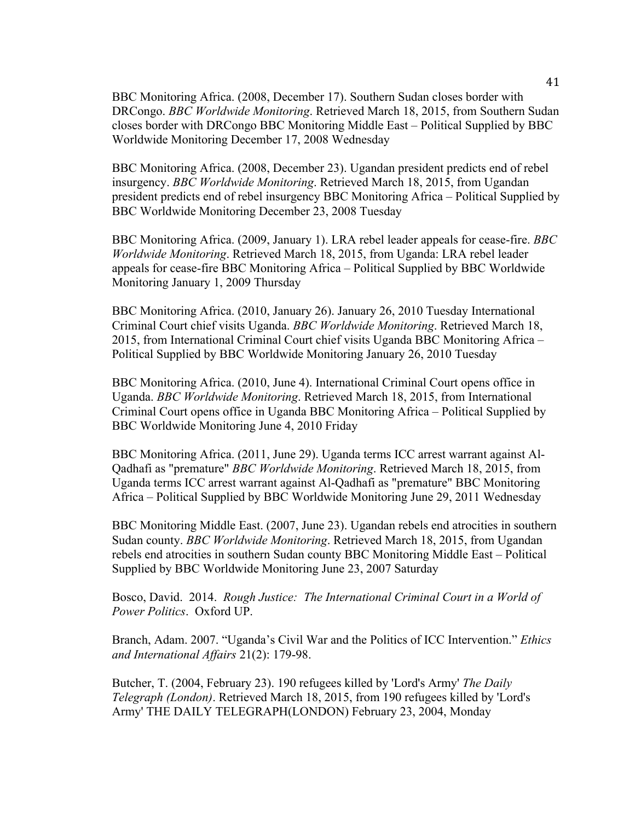BBC Monitoring Africa. (2008, December 17). Southern Sudan closes border with DRCongo. *BBC Worldwide Monitoring*. Retrieved March 18, 2015, from Southern Sudan closes border with DRCongo BBC Monitoring Middle East – Political Supplied by BBC Worldwide Monitoring December 17, 2008 Wednesday

BBC Monitoring Africa. (2008, December 23). Ugandan president predicts end of rebel insurgency. *BBC Worldwide Monitoring*. Retrieved March 18, 2015, from Ugandan president predicts end of rebel insurgency BBC Monitoring Africa – Political Supplied by BBC Worldwide Monitoring December 23, 2008 Tuesday

BBC Monitoring Africa. (2009, January 1). LRA rebel leader appeals for cease-fire. *BBC Worldwide Monitoring*. Retrieved March 18, 2015, from Uganda: LRA rebel leader appeals for cease-fire BBC Monitoring Africa – Political Supplied by BBC Worldwide Monitoring January 1, 2009 Thursday

BBC Monitoring Africa. (2010, January 26). January 26, 2010 Tuesday International Criminal Court chief visits Uganda. *BBC Worldwide Monitoring*. Retrieved March 18, 2015, from International Criminal Court chief visits Uganda BBC Monitoring Africa – Political Supplied by BBC Worldwide Monitoring January 26, 2010 Tuesday

BBC Monitoring Africa. (2010, June 4). International Criminal Court opens office in Uganda. *BBC Worldwide Monitoring*. Retrieved March 18, 2015, from International Criminal Court opens office in Uganda BBC Monitoring Africa – Political Supplied by BBC Worldwide Monitoring June 4, 2010 Friday

BBC Monitoring Africa. (2011, June 29). Uganda terms ICC arrest warrant against Al-Qadhafi as "premature" *BBC Worldwide Monitoring*. Retrieved March 18, 2015, from Uganda terms ICC arrest warrant against Al-Qadhafi as "premature" BBC Monitoring Africa – Political Supplied by BBC Worldwide Monitoring June 29, 2011 Wednesday

BBC Monitoring Middle East. (2007, June 23). Ugandan rebels end atrocities in southern Sudan county. *BBC Worldwide Monitoring*. Retrieved March 18, 2015, from Ugandan rebels end atrocities in southern Sudan county BBC Monitoring Middle East – Political Supplied by BBC Worldwide Monitoring June 23, 2007 Saturday

Bosco, David. 2014. *Rough Justice: The International Criminal Court in a World of Power Politics*. Oxford UP.

Branch, Adam. 2007. "Uganda's Civil War and the Politics of ICC Intervention." *Ethics and International Affairs* 21(2): 179-98.

Butcher, T. (2004, February 23). 190 refugees killed by 'Lord's Army' *The Daily Telegraph (London)*. Retrieved March 18, 2015, from 190 refugees killed by 'Lord's Army' THE DAILY TELEGRAPH(LONDON) February 23, 2004, Monday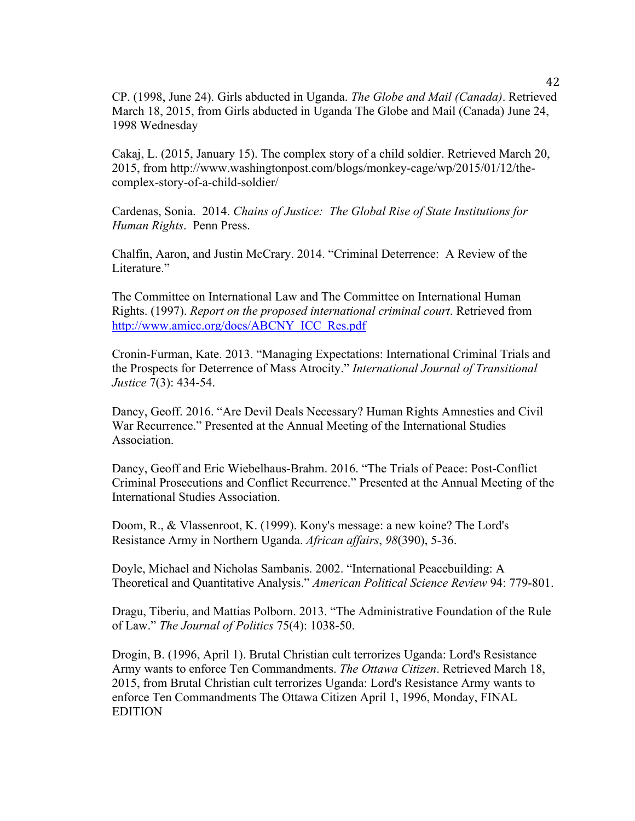CP. (1998, June 24). Girls abducted in Uganda. *The Globe and Mail (Canada)*. Retrieved March 18, 2015, from Girls abducted in Uganda The Globe and Mail (Canada) June 24, 1998 Wednesday

Cakaj, L. (2015, January 15). The complex story of a child soldier. Retrieved March 20, 2015, from http://www.washingtonpost.com/blogs/monkey-cage/wp/2015/01/12/thecomplex-story-of-a-child-soldier/

Cardenas, Sonia. 2014. *Chains of Justice: The Global Rise of State Institutions for Human Rights*. Penn Press.

Chalfin, Aaron, and Justin McCrary. 2014. "Criminal Deterrence: A Review of the Literature."

The Committee on International Law and The Committee on International Human Rights. (1997). *Report on the proposed international criminal court*. Retrieved from http://www.amicc.org/docs/ABCNY\_ICC\_Res.pdf

Cronin-Furman, Kate. 2013. "Managing Expectations: International Criminal Trials and the Prospects for Deterrence of Mass Atrocity." *International Journal of Transitional Justice* 7(3): 434-54.

Dancy, Geoff. 2016. "Are Devil Deals Necessary? Human Rights Amnesties and Civil War Recurrence." Presented at the Annual Meeting of the International Studies Association.

Dancy, Geoff and Eric Wiebelhaus-Brahm. 2016. "The Trials of Peace: Post-Conflict Criminal Prosecutions and Conflict Recurrence." Presented at the Annual Meeting of the International Studies Association.

Doom, R., & Vlassenroot, K. (1999). Kony's message: a new koine? The Lord's Resistance Army in Northern Uganda. *African affairs*, *98*(390), 5-36.

Doyle, Michael and Nicholas Sambanis. 2002. "International Peacebuilding: A Theoretical and Quantitative Analysis." *American Political Science Review* 94: 779-801.

Dragu, Tiberiu, and Mattias Polborn. 2013. "The Administrative Foundation of the Rule of Law." *The Journal of Politics* 75(4): 1038-50.

Drogin, B. (1996, April 1). Brutal Christian cult terrorizes Uganda: Lord's Resistance Army wants to enforce Ten Commandments. *The Ottawa Citizen*. Retrieved March 18, 2015, from Brutal Christian cult terrorizes Uganda: Lord's Resistance Army wants to enforce Ten Commandments The Ottawa Citizen April 1, 1996, Monday, FINAL EDITION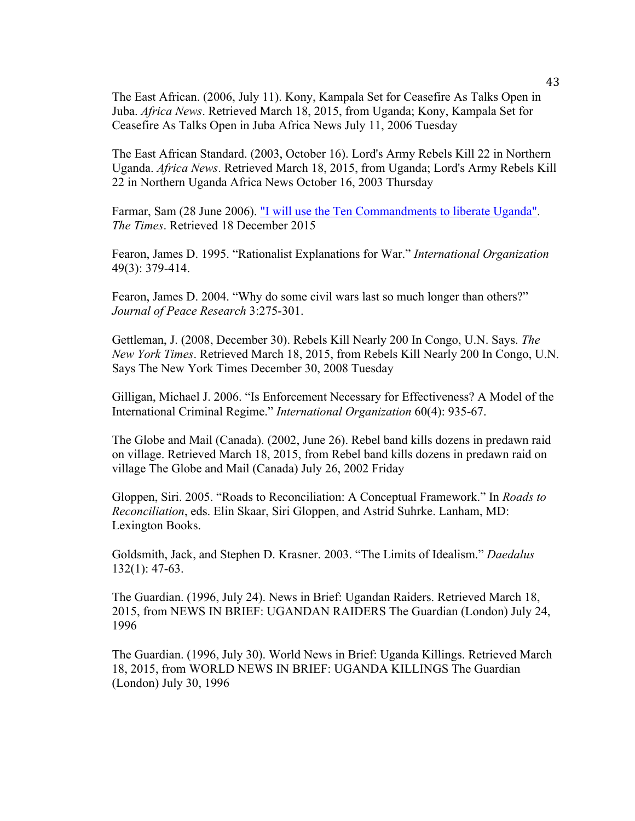The East African. (2006, July 11). Kony, Kampala Set for Ceasefire As Talks Open in Juba. *Africa News*. Retrieved March 18, 2015, from Uganda; Kony, Kampala Set for Ceasefire As Talks Open in Juba Africa News July 11, 2006 Tuesday

The East African Standard. (2003, October 16). Lord's Army Rebels Kill 22 in Northern Uganda. *Africa News*. Retrieved March 18, 2015, from Uganda; Lord's Army Rebels Kill 22 in Northern Uganda Africa News October 16, 2003 Thursday

Farmar, Sam (28 June 2006). "I will use the Ten Commandments to liberate Uganda". *The Times*. Retrieved 18 December 2015

Fearon, James D. 1995. "Rationalist Explanations for War." *International Organization* 49(3): 379-414.

Fearon, James D. 2004. "Why do some civil wars last so much longer than others?" *Journal of Peace Research* 3:275-301.

Gettleman, J. (2008, December 30). Rebels Kill Nearly 200 In Congo, U.N. Says. *The New York Times*. Retrieved March 18, 2015, from Rebels Kill Nearly 200 In Congo, U.N. Says The New York Times December 30, 2008 Tuesday

Gilligan, Michael J. 2006. "Is Enforcement Necessary for Effectiveness? A Model of the International Criminal Regime." *International Organization* 60(4): 935-67.

The Globe and Mail (Canada). (2002, June 26). Rebel band kills dozens in predawn raid on village. Retrieved March 18, 2015, from Rebel band kills dozens in predawn raid on village The Globe and Mail (Canada) July 26, 2002 Friday

Gloppen, Siri. 2005. "Roads to Reconciliation: A Conceptual Framework." In *Roads to Reconciliation*, eds. Elin Skaar, Siri Gloppen, and Astrid Suhrke. Lanham, MD: Lexington Books.

Goldsmith, Jack, and Stephen D. Krasner. 2003. "The Limits of Idealism." *Daedalus* 132(1): 47-63.

The Guardian. (1996, July 24). News in Brief: Ugandan Raiders. Retrieved March 18, 2015, from NEWS IN BRIEF: UGANDAN RAIDERS The Guardian (London) July 24, 1996

The Guardian. (1996, July 30). World News in Brief: Uganda Killings. Retrieved March 18, 2015, from WORLD NEWS IN BRIEF: UGANDA KILLINGS The Guardian (London) July 30, 1996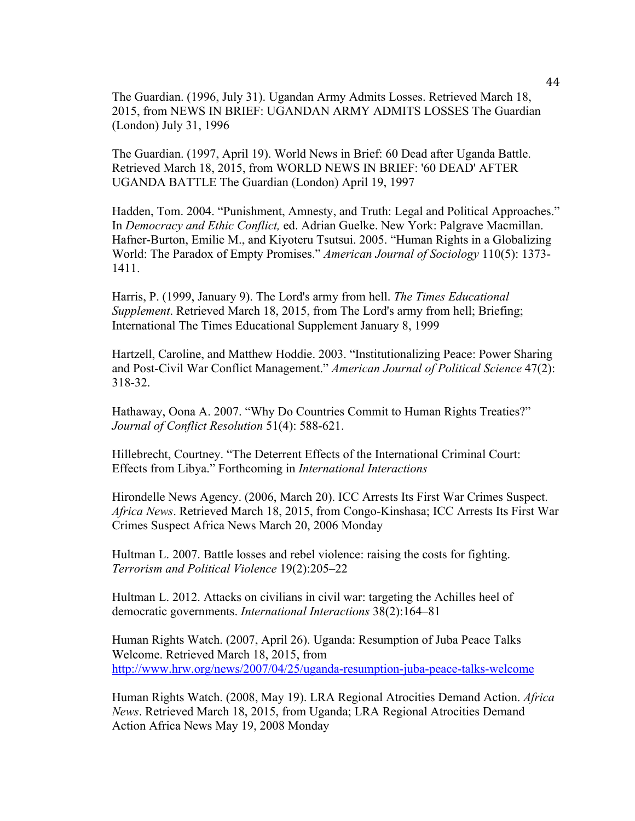The Guardian. (1996, July 31). Ugandan Army Admits Losses. Retrieved March 18, 2015, from NEWS IN BRIEF: UGANDAN ARMY ADMITS LOSSES The Guardian (London) July 31, 1996

The Guardian. (1997, April 19). World News in Brief: 60 Dead after Uganda Battle. Retrieved March 18, 2015, from WORLD NEWS IN BRIEF: '60 DEAD' AFTER UGANDA BATTLE The Guardian (London) April 19, 1997

Hadden, Tom. 2004. "Punishment, Amnesty, and Truth: Legal and Political Approaches." In *Democracy and Ethic Conflict,* ed. Adrian Guelke. New York: Palgrave Macmillan. Hafner-Burton, Emilie M., and Kiyoteru Tsutsui. 2005. "Human Rights in a Globalizing World: The Paradox of Empty Promises." *American Journal of Sociology* 110(5): 1373- 1411.

Harris, P. (1999, January 9). The Lord's army from hell. *The Times Educational Supplement*. Retrieved March 18, 2015, from The Lord's army from hell; Briefing; International The Times Educational Supplement January 8, 1999

Hartzell, Caroline, and Matthew Hoddie. 2003. "Institutionalizing Peace: Power Sharing and Post-Civil War Conflict Management." *American Journal of Political Science* 47(2): 318-32.

Hathaway, Oona A. 2007. "Why Do Countries Commit to Human Rights Treaties?" *Journal of Conflict Resolution* 51(4): 588-621.

Hillebrecht, Courtney. "The Deterrent Effects of the International Criminal Court: Effects from Libya." Forthcoming in *International Interactions*

Hirondelle News Agency. (2006, March 20). ICC Arrests Its First War Crimes Suspect. *Africa News*. Retrieved March 18, 2015, from Congo-Kinshasa; ICC Arrests Its First War Crimes Suspect Africa News March 20, 2006 Monday

Hultman L. 2007. Battle losses and rebel violence: raising the costs for fighting. *Terrorism and Political Violence* 19(2):205–22

Hultman L. 2012. Attacks on civilians in civil war: targeting the Achilles heel of democratic governments. *International Interactions* 38(2):164–81

Human Rights Watch. (2007, April 26). Uganda: Resumption of Juba Peace Talks Welcome. Retrieved March 18, 2015, from http://www.hrw.org/news/2007/04/25/uganda-resumption-juba-peace-talks-welcome

Human Rights Watch. (2008, May 19). LRA Regional Atrocities Demand Action. *Africa News*. Retrieved March 18, 2015, from Uganda; LRA Regional Atrocities Demand Action Africa News May 19, 2008 Monday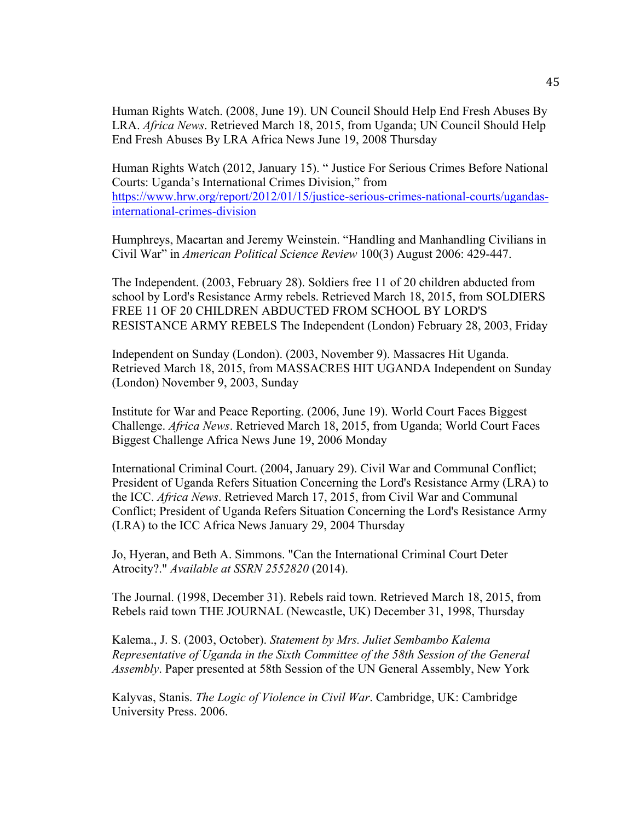Human Rights Watch. (2008, June 19). UN Council Should Help End Fresh Abuses By LRA. *Africa News*. Retrieved March 18, 2015, from Uganda; UN Council Should Help End Fresh Abuses By LRA Africa News June 19, 2008 Thursday

Human Rights Watch (2012, January 15). " Justice For Serious Crimes Before National Courts: Uganda's International Crimes Division," from https://www.hrw.org/report/2012/01/15/justice-serious-crimes-national-courts/ugandasinternational-crimes-division

Humphreys, Macartan and Jeremy Weinstein. "Handling and Manhandling Civilians in Civil War" in *American Political Science Review* 100(3) August 2006: 429-447.

The Independent. (2003, February 28). Soldiers free 11 of 20 children abducted from school by Lord's Resistance Army rebels. Retrieved March 18, 2015, from SOLDIERS FREE 11 OF 20 CHILDREN ABDUCTED FROM SCHOOL BY LORD'S RESISTANCE ARMY REBELS The Independent (London) February 28, 2003, Friday

Independent on Sunday (London). (2003, November 9). Massacres Hit Uganda. Retrieved March 18, 2015, from MASSACRES HIT UGANDA Independent on Sunday (London) November 9, 2003, Sunday

Institute for War and Peace Reporting. (2006, June 19). World Court Faces Biggest Challenge. *Africa News*. Retrieved March 18, 2015, from Uganda; World Court Faces Biggest Challenge Africa News June 19, 2006 Monday

International Criminal Court. (2004, January 29). Civil War and Communal Conflict; President of Uganda Refers Situation Concerning the Lord's Resistance Army (LRA) to the ICC. *Africa News*. Retrieved March 17, 2015, from Civil War and Communal Conflict; President of Uganda Refers Situation Concerning the Lord's Resistance Army (LRA) to the ICC Africa News January 29, 2004 Thursday

Jo, Hyeran, and Beth A. Simmons. "Can the International Criminal Court Deter Atrocity?." *Available at SSRN 2552820* (2014).

The Journal. (1998, December 31). Rebels raid town. Retrieved March 18, 2015, from Rebels raid town THE JOURNAL (Newcastle, UK) December 31, 1998, Thursday

Kalema., J. S. (2003, October). *Statement by Mrs. Juliet Sembambo Kalema Representative of Uganda in the Sixth Committee of the 58th Session of the General Assembly*. Paper presented at 58th Session of the UN General Assembly, New York

Kalyvas, Stanis. *The Logic of Violence in Civil War*. Cambridge, UK: Cambridge University Press. 2006.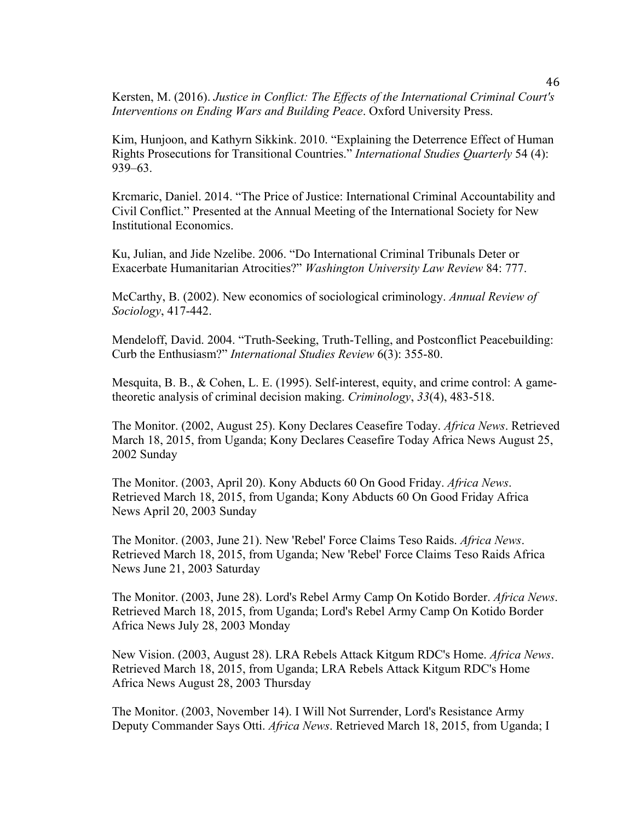Kersten, M. (2016). *Justice in Conflict: The Effects of the International Criminal Court's Interventions on Ending Wars and Building Peace*. Oxford University Press.

Kim, Hunjoon, and Kathyrn Sikkink. 2010. "Explaining the Deterrence Effect of Human Rights Prosecutions for Transitional Countries." *International Studies Quarterly* 54 (4): 939–63.

Krcmaric, Daniel. 2014. "The Price of Justice: International Criminal Accountability and Civil Conflict." Presented at the Annual Meeting of the International Society for New Institutional Economics.

Ku, Julian, and Jide Nzelibe. 2006. "Do International Criminal Tribunals Deter or Exacerbate Humanitarian Atrocities?" *Washington University Law Review* 84: 777.

McCarthy, B. (2002). New economics of sociological criminology. *Annual Review of Sociology*, 417-442.

Mendeloff, David. 2004. "Truth-Seeking, Truth-Telling, and Postconflict Peacebuilding: Curb the Enthusiasm?" *International Studies Review* 6(3): 355-80.

Mesquita, B. B., & Cohen, L. E. (1995). Self-interest, equity, and crime control: A gametheoretic analysis of criminal decision making. *Criminology*, *33*(4), 483-518.

The Monitor. (2002, August 25). Kony Declares Ceasefire Today. *Africa News*. Retrieved March 18, 2015, from Uganda; Kony Declares Ceasefire Today Africa News August 25, 2002 Sunday

The Monitor. (2003, April 20). Kony Abducts 60 On Good Friday. *Africa News*. Retrieved March 18, 2015, from Uganda; Kony Abducts 60 On Good Friday Africa News April 20, 2003 Sunday

The Monitor. (2003, June 21). New 'Rebel' Force Claims Teso Raids. *Africa News*. Retrieved March 18, 2015, from Uganda; New 'Rebel' Force Claims Teso Raids Africa News June 21, 2003 Saturday

The Monitor. (2003, June 28). Lord's Rebel Army Camp On Kotido Border. *Africa News*. Retrieved March 18, 2015, from Uganda; Lord's Rebel Army Camp On Kotido Border Africa News July 28, 2003 Monday

New Vision. (2003, August 28). LRA Rebels Attack Kitgum RDC's Home. *Africa News*. Retrieved March 18, 2015, from Uganda; LRA Rebels Attack Kitgum RDC's Home Africa News August 28, 2003 Thursday

The Monitor. (2003, November 14). I Will Not Surrender, Lord's Resistance Army Deputy Commander Says Otti. *Africa News*. Retrieved March 18, 2015, from Uganda; I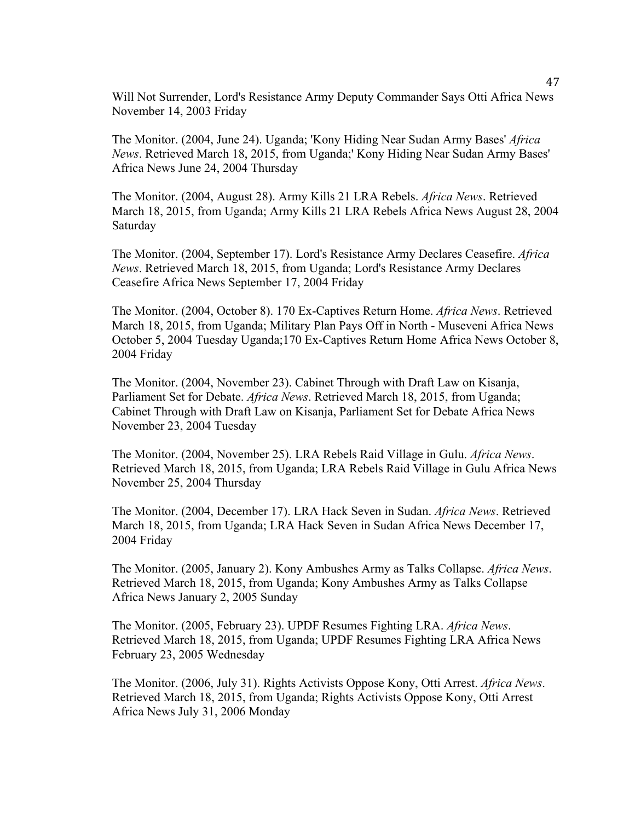Will Not Surrender, Lord's Resistance Army Deputy Commander Says Otti Africa News November 14, 2003 Friday

The Monitor. (2004, June 24). Uganda; 'Kony Hiding Near Sudan Army Bases' *Africa News*. Retrieved March 18, 2015, from Uganda;' Kony Hiding Near Sudan Army Bases' Africa News June 24, 2004 Thursday

The Monitor. (2004, August 28). Army Kills 21 LRA Rebels. *Africa News*. Retrieved March 18, 2015, from Uganda; Army Kills 21 LRA Rebels Africa News August 28, 2004 Saturday

The Monitor. (2004, September 17). Lord's Resistance Army Declares Ceasefire. *Africa News*. Retrieved March 18, 2015, from Uganda; Lord's Resistance Army Declares Ceasefire Africa News September 17, 2004 Friday

The Monitor. (2004, October 8). 170 Ex-Captives Return Home. *Africa News*. Retrieved March 18, 2015, from Uganda; Military Plan Pays Off in North - Museveni Africa News October 5, 2004 Tuesday Uganda;170 Ex-Captives Return Home Africa News October 8, 2004 Friday

The Monitor. (2004, November 23). Cabinet Through with Draft Law on Kisanja, Parliament Set for Debate. *Africa News*. Retrieved March 18, 2015, from Uganda; Cabinet Through with Draft Law on Kisanja, Parliament Set for Debate Africa News November 23, 2004 Tuesday

The Monitor. (2004, November 25). LRA Rebels Raid Village in Gulu. *Africa News*. Retrieved March 18, 2015, from Uganda; LRA Rebels Raid Village in Gulu Africa News November 25, 2004 Thursday

The Monitor. (2004, December 17). LRA Hack Seven in Sudan. *Africa News*. Retrieved March 18, 2015, from Uganda; LRA Hack Seven in Sudan Africa News December 17, 2004 Friday

The Monitor. (2005, January 2). Kony Ambushes Army as Talks Collapse. *Africa News*. Retrieved March 18, 2015, from Uganda; Kony Ambushes Army as Talks Collapse Africa News January 2, 2005 Sunday

The Monitor. (2005, February 23). UPDF Resumes Fighting LRA. *Africa News*. Retrieved March 18, 2015, from Uganda; UPDF Resumes Fighting LRA Africa News February 23, 2005 Wednesday

The Monitor. (2006, July 31). Rights Activists Oppose Kony, Otti Arrest. *Africa News*. Retrieved March 18, 2015, from Uganda; Rights Activists Oppose Kony, Otti Arrest Africa News July 31, 2006 Monday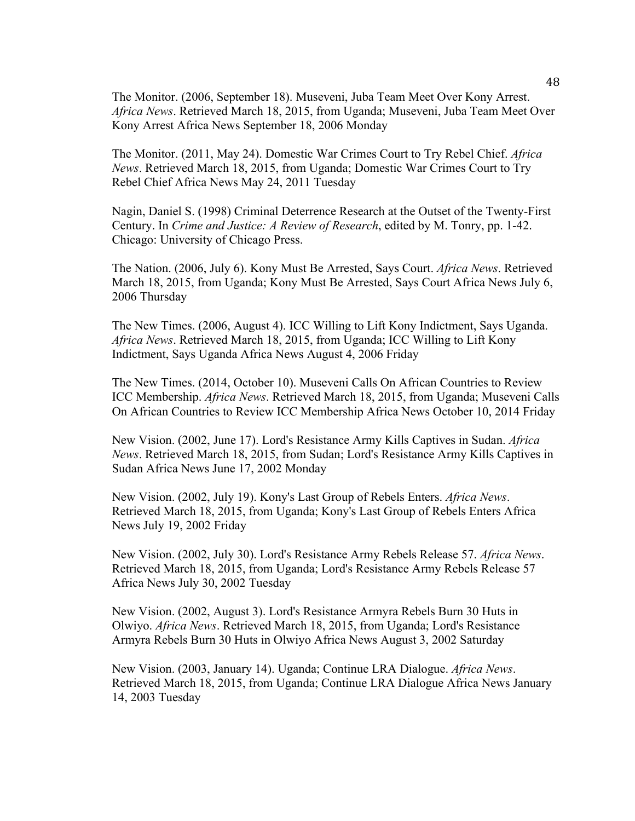The Monitor. (2006, September 18). Museveni, Juba Team Meet Over Kony Arrest. *Africa News*. Retrieved March 18, 2015, from Uganda; Museveni, Juba Team Meet Over Kony Arrest Africa News September 18, 2006 Monday

The Monitor. (2011, May 24). Domestic War Crimes Court to Try Rebel Chief. *Africa News*. Retrieved March 18, 2015, from Uganda; Domestic War Crimes Court to Try Rebel Chief Africa News May 24, 2011 Tuesday

Nagin, Daniel S. (1998) Criminal Deterrence Research at the Outset of the Twenty-First Century. In *Crime and Justice: A Review of Research*, edited by M. Tonry, pp. 1-42. Chicago: University of Chicago Press.

The Nation. (2006, July 6). Kony Must Be Arrested, Says Court. *Africa News*. Retrieved March 18, 2015, from Uganda; Kony Must Be Arrested, Says Court Africa News July 6, 2006 Thursday

The New Times. (2006, August 4). ICC Willing to Lift Kony Indictment, Says Uganda. *Africa News*. Retrieved March 18, 2015, from Uganda; ICC Willing to Lift Kony Indictment, Says Uganda Africa News August 4, 2006 Friday

The New Times. (2014, October 10). Museveni Calls On African Countries to Review ICC Membership. *Africa News*. Retrieved March 18, 2015, from Uganda; Museveni Calls On African Countries to Review ICC Membership Africa News October 10, 2014 Friday

New Vision. (2002, June 17). Lord's Resistance Army Kills Captives in Sudan. *Africa News*. Retrieved March 18, 2015, from Sudan; Lord's Resistance Army Kills Captives in Sudan Africa News June 17, 2002 Monday

New Vision. (2002, July 19). Kony's Last Group of Rebels Enters. *Africa News*. Retrieved March 18, 2015, from Uganda; Kony's Last Group of Rebels Enters Africa News July 19, 2002 Friday

New Vision. (2002, July 30). Lord's Resistance Army Rebels Release 57. *Africa News*. Retrieved March 18, 2015, from Uganda; Lord's Resistance Army Rebels Release 57 Africa News July 30, 2002 Tuesday

New Vision. (2002, August 3). Lord's Resistance Armyra Rebels Burn 30 Huts in Olwiyo. *Africa News*. Retrieved March 18, 2015, from Uganda; Lord's Resistance Armyra Rebels Burn 30 Huts in Olwiyo Africa News August 3, 2002 Saturday

New Vision. (2003, January 14). Uganda; Continue LRA Dialogue. *Africa News*. Retrieved March 18, 2015, from Uganda; Continue LRA Dialogue Africa News January 14, 2003 Tuesday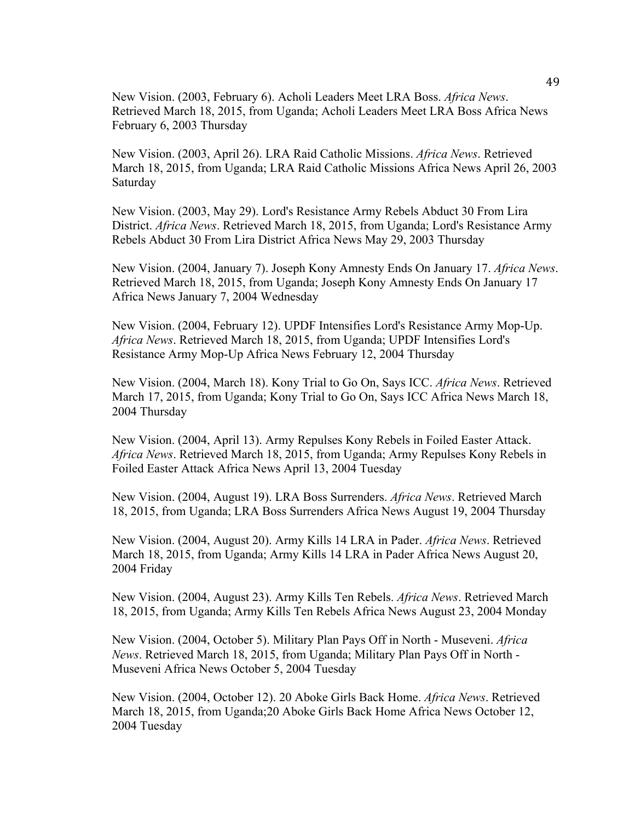New Vision. (2003, February 6). Acholi Leaders Meet LRA Boss. *Africa News*. Retrieved March 18, 2015, from Uganda; Acholi Leaders Meet LRA Boss Africa News February 6, 2003 Thursday

New Vision. (2003, April 26). LRA Raid Catholic Missions. *Africa News*. Retrieved March 18, 2015, from Uganda; LRA Raid Catholic Missions Africa News April 26, 2003 Saturday

New Vision. (2003, May 29). Lord's Resistance Army Rebels Abduct 30 From Lira District. *Africa News*. Retrieved March 18, 2015, from Uganda; Lord's Resistance Army Rebels Abduct 30 From Lira District Africa News May 29, 2003 Thursday

New Vision. (2004, January 7). Joseph Kony Amnesty Ends On January 17. *Africa News*. Retrieved March 18, 2015, from Uganda; Joseph Kony Amnesty Ends On January 17 Africa News January 7, 2004 Wednesday

New Vision. (2004, February 12). UPDF Intensifies Lord's Resistance Army Mop-Up. *Africa News*. Retrieved March 18, 2015, from Uganda; UPDF Intensifies Lord's Resistance Army Mop-Up Africa News February 12, 2004 Thursday

New Vision. (2004, March 18). Kony Trial to Go On, Says ICC. *Africa News*. Retrieved March 17, 2015, from Uganda; Kony Trial to Go On, Says ICC Africa News March 18, 2004 Thursday

New Vision. (2004, April 13). Army Repulses Kony Rebels in Foiled Easter Attack. *Africa News*. Retrieved March 18, 2015, from Uganda; Army Repulses Kony Rebels in Foiled Easter Attack Africa News April 13, 2004 Tuesday

New Vision. (2004, August 19). LRA Boss Surrenders. *Africa News*. Retrieved March 18, 2015, from Uganda; LRA Boss Surrenders Africa News August 19, 2004 Thursday

New Vision. (2004, August 20). Army Kills 14 LRA in Pader. *Africa News*. Retrieved March 18, 2015, from Uganda; Army Kills 14 LRA in Pader Africa News August 20, 2004 Friday

New Vision. (2004, August 23). Army Kills Ten Rebels. *Africa News*. Retrieved March 18, 2015, from Uganda; Army Kills Ten Rebels Africa News August 23, 2004 Monday

New Vision. (2004, October 5). Military Plan Pays Off in North - Museveni. *Africa News*. Retrieved March 18, 2015, from Uganda; Military Plan Pays Off in North - Museveni Africa News October 5, 2004 Tuesday

New Vision. (2004, October 12). 20 Aboke Girls Back Home. *Africa News*. Retrieved March 18, 2015, from Uganda;20 Aboke Girls Back Home Africa News October 12, 2004 Tuesday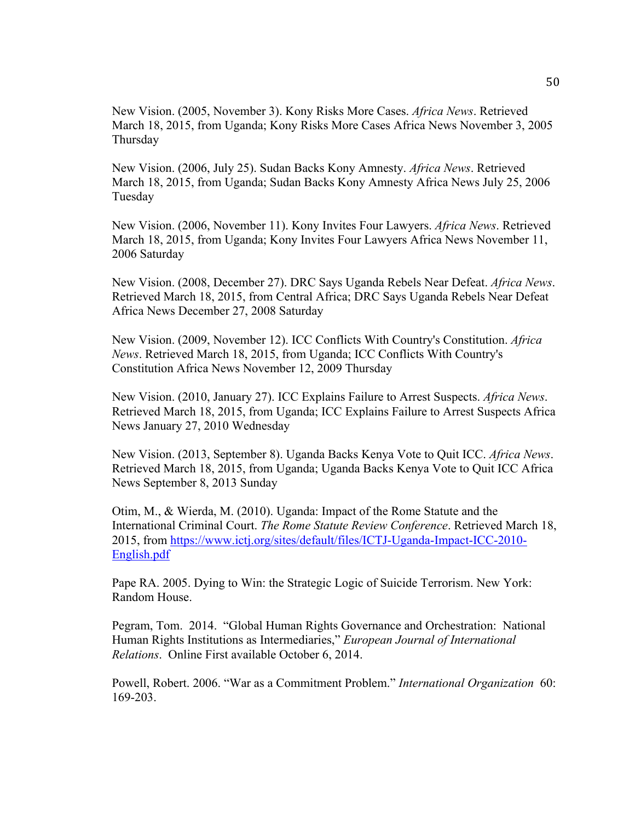New Vision. (2005, November 3). Kony Risks More Cases. *Africa News*. Retrieved March 18, 2015, from Uganda; Kony Risks More Cases Africa News November 3, 2005 Thursday

New Vision. (2006, July 25). Sudan Backs Kony Amnesty. *Africa News*. Retrieved March 18, 2015, from Uganda; Sudan Backs Kony Amnesty Africa News July 25, 2006 Tuesday

New Vision. (2006, November 11). Kony Invites Four Lawyers. *Africa News*. Retrieved March 18, 2015, from Uganda; Kony Invites Four Lawyers Africa News November 11, 2006 Saturday

New Vision. (2008, December 27). DRC Says Uganda Rebels Near Defeat. *Africa News*. Retrieved March 18, 2015, from Central Africa; DRC Says Uganda Rebels Near Defeat Africa News December 27, 2008 Saturday

New Vision. (2009, November 12). ICC Conflicts With Country's Constitution. *Africa News*. Retrieved March 18, 2015, from Uganda; ICC Conflicts With Country's Constitution Africa News November 12, 2009 Thursday

New Vision. (2010, January 27). ICC Explains Failure to Arrest Suspects. *Africa News*. Retrieved March 18, 2015, from Uganda; ICC Explains Failure to Arrest Suspects Africa News January 27, 2010 Wednesday

New Vision. (2013, September 8). Uganda Backs Kenya Vote to Quit ICC. *Africa News*. Retrieved March 18, 2015, from Uganda; Uganda Backs Kenya Vote to Quit ICC Africa News September 8, 2013 Sunday

Otim, M., & Wierda, M. (2010). Uganda: Impact of the Rome Statute and the International Criminal Court. *The Rome Statute Review Conference*. Retrieved March 18, 2015, from https://www.ictj.org/sites/default/files/ICTJ-Uganda-Impact-ICC-2010- English.pdf

Pape RA. 2005. Dying to Win: the Strategic Logic of Suicide Terrorism. New York: Random House.

Pegram, Tom. 2014. "Global Human Rights Governance and Orchestration: National Human Rights Institutions as Intermediaries," *European Journal of International Relations*. Online First available October 6, 2014.

Powell, Robert. 2006. "War as a Commitment Problem." *International Organization* 60: 169-203.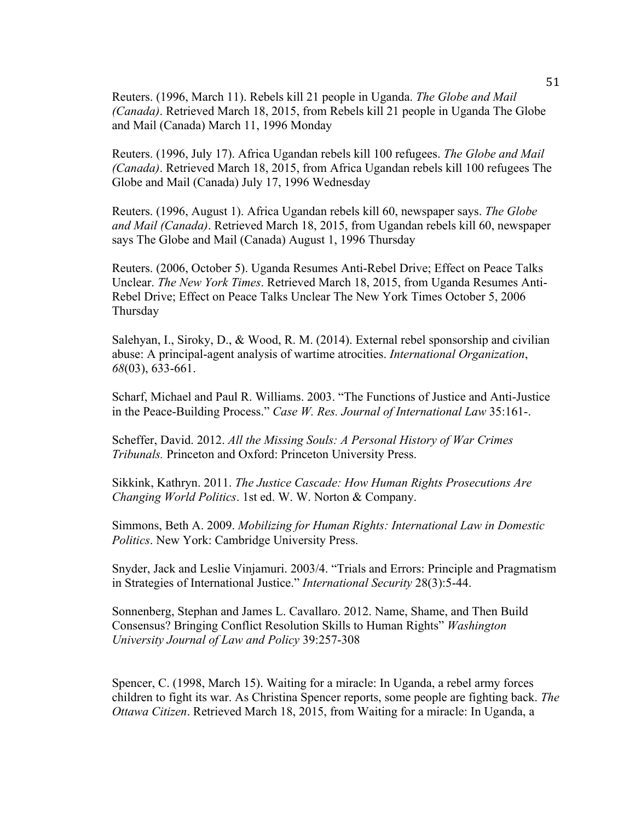Reuters. (1996, March 11). Rebels kill 21 people in Uganda. *The Globe and Mail (Canada)*. Retrieved March 18, 2015, from Rebels kill 21 people in Uganda The Globe and Mail (Canada) March 11, 1996 Monday

Reuters. (1996, July 17). Africa Ugandan rebels kill 100 refugees. *The Globe and Mail (Canada)*. Retrieved March 18, 2015, from Africa Ugandan rebels kill 100 refugees The Globe and Mail (Canada) July 17, 1996 Wednesday

Reuters. (1996, August 1). Africa Ugandan rebels kill 60, newspaper says. *The Globe and Mail (Canada)*. Retrieved March 18, 2015, from Ugandan rebels kill 60, newspaper says The Globe and Mail (Canada) August 1, 1996 Thursday

Reuters. (2006, October 5). Uganda Resumes Anti-Rebel Drive; Effect on Peace Talks Unclear. *The New York Times*. Retrieved March 18, 2015, from Uganda Resumes Anti-Rebel Drive; Effect on Peace Talks Unclear The New York Times October 5, 2006 Thursday

Salehyan, I., Siroky, D., & Wood, R. M. (2014). External rebel sponsorship and civilian abuse: A principal-agent analysis of wartime atrocities. *International Organization*, *68*(03), 633-661.

Scharf, Michael and Paul R. Williams. 2003. "The Functions of Justice and Anti-Justice in the Peace-Building Process." *Case W. Res. Journal of International Law* 35:161-.

Scheffer, David. 2012. *All the Missing Souls: A Personal History of War Crimes Tribunals.* Princeton and Oxford: Princeton University Press.

Sikkink, Kathryn. 2011. *The Justice Cascade: How Human Rights Prosecutions Are Changing World Politics*. 1st ed. W. W. Norton & Company.

Simmons, Beth A. 2009. *Mobilizing for Human Rights: International Law in Domestic Politics*. New York: Cambridge University Press.

Snyder, Jack and Leslie Vinjamuri. 2003/4. "Trials and Errors: Principle and Pragmatism in Strategies of International Justice." *International Security* 28(3):5-44.

Sonnenberg, Stephan and James L. Cavallaro. 2012. Name, Shame, and Then Build Consensus? Bringing Conflict Resolution Skills to Human Rights" *Washington University Journal of Law and Policy* 39:257-308

Spencer, C. (1998, March 15). Waiting for a miracle: In Uganda, a rebel army forces children to fight its war. As Christina Spencer reports, some people are fighting back. *The Ottawa Citizen*. Retrieved March 18, 2015, from Waiting for a miracle: In Uganda, a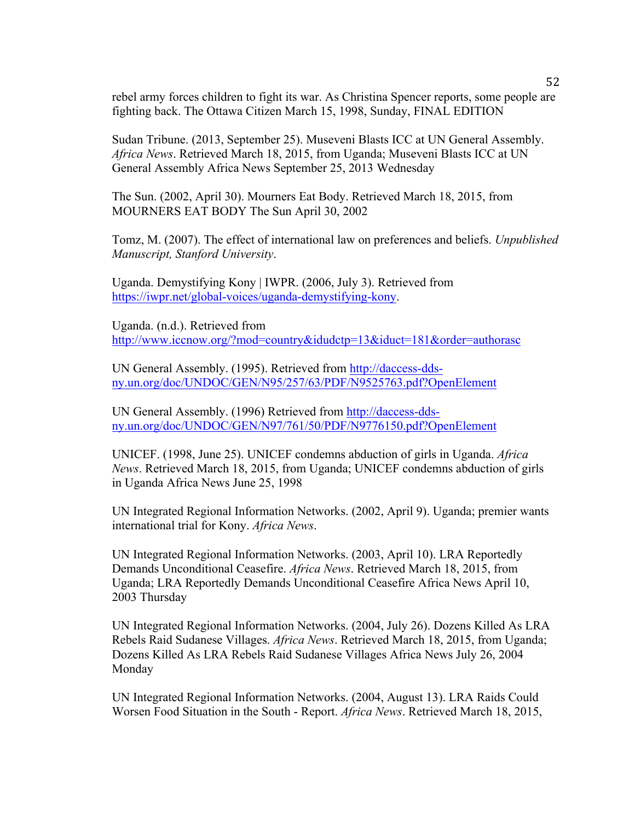rebel army forces children to fight its war. As Christina Spencer reports, some people are fighting back. The Ottawa Citizen March 15, 1998, Sunday, FINAL EDITION

Sudan Tribune. (2013, September 25). Museveni Blasts ICC at UN General Assembly. *Africa News*. Retrieved March 18, 2015, from Uganda; Museveni Blasts ICC at UN General Assembly Africa News September 25, 2013 Wednesday

The Sun. (2002, April 30). Mourners Eat Body. Retrieved March 18, 2015, from MOURNERS EAT BODY The Sun April 30, 2002

Tomz, M. (2007). The effect of international law on preferences and beliefs. *Unpublished Manuscript, Stanford University*.

Uganda. Demystifying Kony | IWPR. (2006, July 3). Retrieved from https://iwpr.net/global-voices/uganda-demystifying-kony.

Uganda. (n.d.). Retrieved from http://www.iccnow.org/?mod=country&idudctp=13&iduct=181&order=authorasc

UN General Assembly. (1995). Retrieved from http://daccess-ddsny.un.org/doc/UNDOC/GEN/N95/257/63/PDF/N9525763.pdf?OpenElement

UN General Assembly. (1996) Retrieved from http://daccess-ddsny.un.org/doc/UNDOC/GEN/N97/761/50/PDF/N9776150.pdf?OpenElement

UNICEF. (1998, June 25). UNICEF condemns abduction of girls in Uganda. *Africa News*. Retrieved March 18, 2015, from Uganda; UNICEF condemns abduction of girls in Uganda Africa News June 25, 1998

UN Integrated Regional Information Networks. (2002, April 9). Uganda; premier wants international trial for Kony. *Africa News*.

UN Integrated Regional Information Networks. (2003, April 10). LRA Reportedly Demands Unconditional Ceasefire. *Africa News*. Retrieved March 18, 2015, from Uganda; LRA Reportedly Demands Unconditional Ceasefire Africa News April 10, 2003 Thursday

UN Integrated Regional Information Networks. (2004, July 26). Dozens Killed As LRA Rebels Raid Sudanese Villages. *Africa News*. Retrieved March 18, 2015, from Uganda; Dozens Killed As LRA Rebels Raid Sudanese Villages Africa News July 26, 2004 Monday

UN Integrated Regional Information Networks. (2004, August 13). LRA Raids Could Worsen Food Situation in the South - Report. *Africa News*. Retrieved March 18, 2015,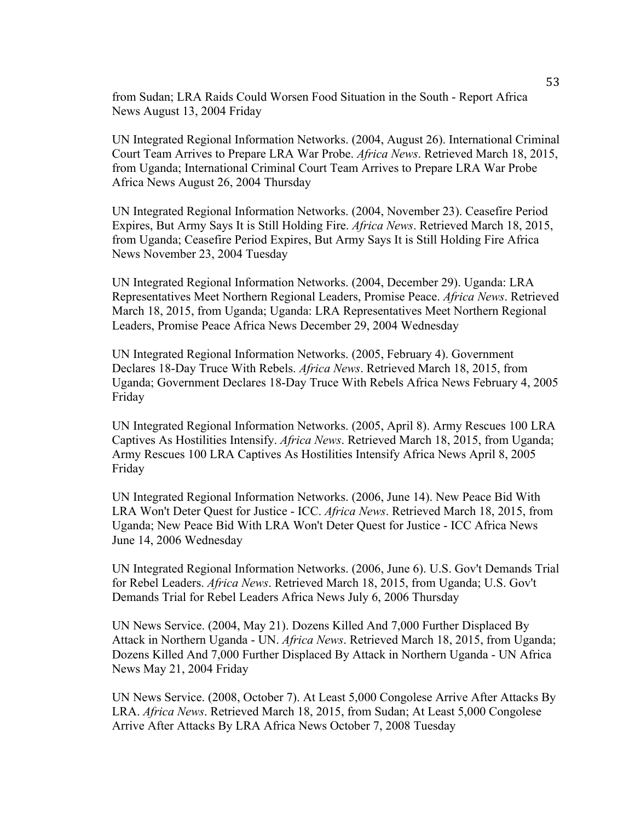from Sudan; LRA Raids Could Worsen Food Situation in the South - Report Africa News August 13, 2004 Friday

UN Integrated Regional Information Networks. (2004, August 26). International Criminal Court Team Arrives to Prepare LRA War Probe. *Africa News*. Retrieved March 18, 2015, from Uganda; International Criminal Court Team Arrives to Prepare LRA War Probe Africa News August 26, 2004 Thursday

UN Integrated Regional Information Networks. (2004, November 23). Ceasefire Period Expires, But Army Says It is Still Holding Fire. *Africa News*. Retrieved March 18, 2015, from Uganda; Ceasefire Period Expires, But Army Says It is Still Holding Fire Africa News November 23, 2004 Tuesday

UN Integrated Regional Information Networks. (2004, December 29). Uganda: LRA Representatives Meet Northern Regional Leaders, Promise Peace. *Africa News*. Retrieved March 18, 2015, from Uganda; Uganda: LRA Representatives Meet Northern Regional Leaders, Promise Peace Africa News December 29, 2004 Wednesday

UN Integrated Regional Information Networks. (2005, February 4). Government Declares 18-Day Truce With Rebels. *Africa News*. Retrieved March 18, 2015, from Uganda; Government Declares 18-Day Truce With Rebels Africa News February 4, 2005 Friday

UN Integrated Regional Information Networks. (2005, April 8). Army Rescues 100 LRA Captives As Hostilities Intensify. *Africa News*. Retrieved March 18, 2015, from Uganda; Army Rescues 100 LRA Captives As Hostilities Intensify Africa News April 8, 2005 Friday

UN Integrated Regional Information Networks. (2006, June 14). New Peace Bid With LRA Won't Deter Quest for Justice - ICC. *Africa News*. Retrieved March 18, 2015, from Uganda; New Peace Bid With LRA Won't Deter Quest for Justice - ICC Africa News June 14, 2006 Wednesday

UN Integrated Regional Information Networks. (2006, June 6). U.S. Gov't Demands Trial for Rebel Leaders. *Africa News*. Retrieved March 18, 2015, from Uganda; U.S. Gov't Demands Trial for Rebel Leaders Africa News July 6, 2006 Thursday

UN News Service. (2004, May 21). Dozens Killed And 7,000 Further Displaced By Attack in Northern Uganda - UN. *Africa News*. Retrieved March 18, 2015, from Uganda; Dozens Killed And 7,000 Further Displaced By Attack in Northern Uganda - UN Africa News May 21, 2004 Friday

UN News Service. (2008, October 7). At Least 5,000 Congolese Arrive After Attacks By LRA. *Africa News*. Retrieved March 18, 2015, from Sudan; At Least 5,000 Congolese Arrive After Attacks By LRA Africa News October 7, 2008 Tuesday